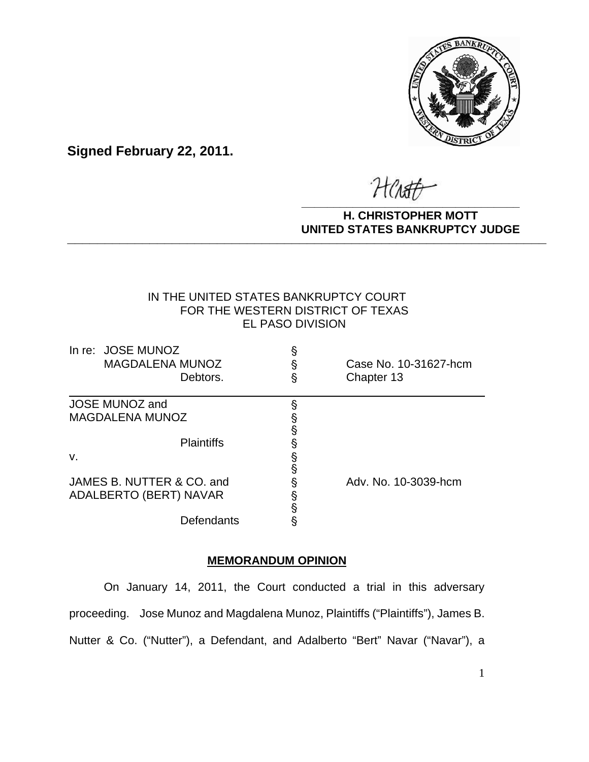

**Signed February 22, 2011.**

HCAST **\_\_\_\_\_\_\_\_\_\_\_\_\_\_\_\_\_\_\_\_\_\_\_\_\_\_\_\_\_\_\_\_\_\_**

#### **H. CHRISTOPHER MOTT UNITED STATES BANKRUPTCY JUDGE PATTED DRIVING TOT 00DCL**

# IN THE UNITED STATES BANKRUPTCY COURT FOR THE WESTERN DISTRICT OF TEXAS EL PASO DIVISION

| In re: JOSE MUNOZ<br><b>MAGDALENA MUNOZ</b><br>Debtors. | §<br>§<br>§ | Case No. 10-31627-hcm<br>Chapter 13 |
|---------------------------------------------------------|-------------|-------------------------------------|
| <b>JOSE MUNOZ and</b>                                   | §           |                                     |
| <b>MAGDALENA MUNOZ</b>                                  |             |                                     |
|                                                         | S<br>S      |                                     |
| <b>Plaintiffs</b>                                       | §           |                                     |
| v.                                                      |             |                                     |
|                                                         | §<br>§      |                                     |
| JAMES B. NUTTER & CO. and                               | ş           | Adv. No. 10-3039-hcm                |
| ADALBERTO (BERT) NAVAR                                  |             |                                     |
|                                                         | §<br>§      |                                     |
| Defendants                                              | §           |                                     |

# **MEMORANDUM OPINION**

On January 14, 2011, the Court conducted a trial in this adversary proceeding. Jose Munoz and Magdalena Munoz, Plaintiffs ("Plaintiffs"), James B. Nutter & Co. ("Nutter"), a Defendant, and Adalberto "Bert" Navar ("Navar"), a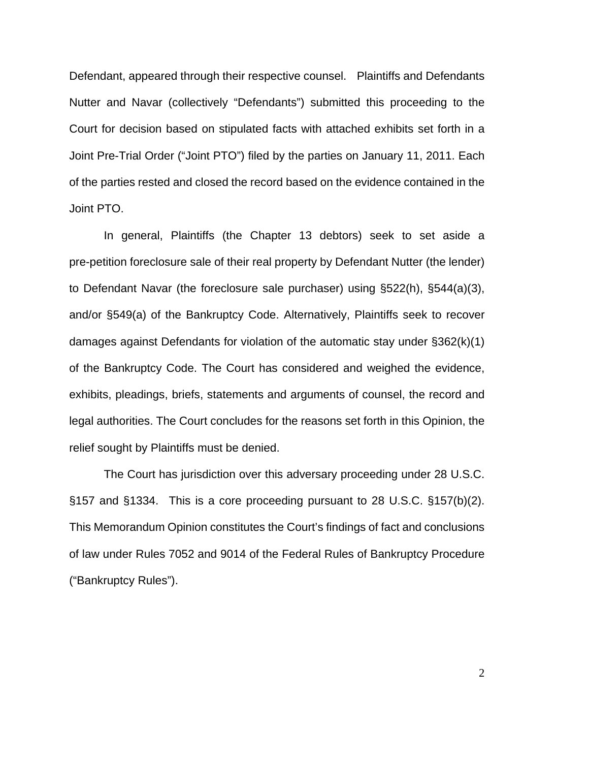Defendant, appeared through their respective counsel. Plaintiffs and Defendants Nutter and Navar (collectively "Defendants") submitted this proceeding to the Court for decision based on stipulated facts with attached exhibits set forth in a Joint Pre-Trial Order ("Joint PTO") filed by the parties on January 11, 2011. Each of the parties rested and closed the record based on the evidence contained in the Joint PTO.

In general, Plaintiffs (the Chapter 13 debtors) seek to set aside a pre-petition foreclosure sale of their real property by Defendant Nutter (the lender) to Defendant Navar (the foreclosure sale purchaser) using §522(h), §544(a)(3), and/or §549(a) of the Bankruptcy Code. Alternatively, Plaintiffs seek to recover damages against Defendants for violation of the automatic stay under §362(k)(1) of the Bankruptcy Code. The Court has considered and weighed the evidence, exhibits, pleadings, briefs, statements and arguments of counsel, the record and legal authorities. The Court concludes for the reasons set forth in this Opinion, the relief sought by Plaintiffs must be denied.

The Court has jurisdiction over this adversary proceeding under 28 U.S.C. §157 and §1334. This is a core proceeding pursuant to 28 U.S.C. §157(b)(2). This Memorandum Opinion constitutes the Court's findings of fact and conclusions of law under Rules 7052 and 9014 of the Federal Rules of Bankruptcy Procedure ("Bankruptcy Rules").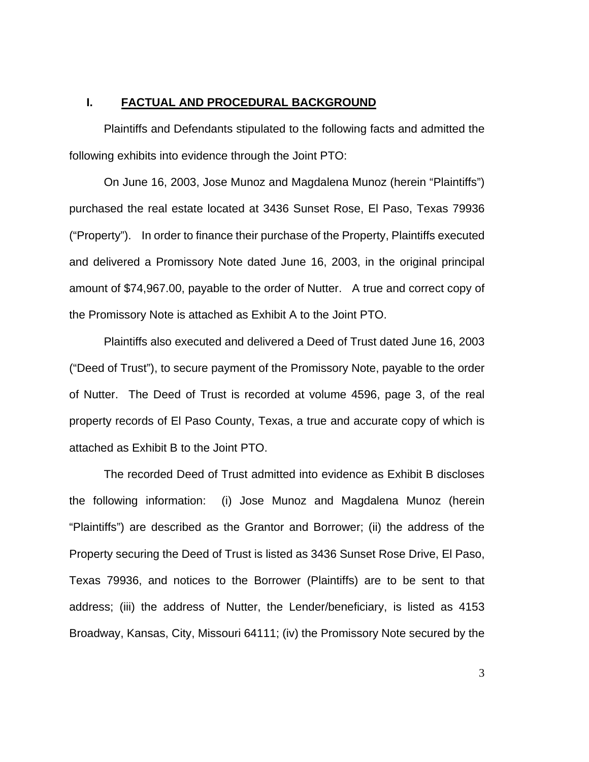### **I. FACTUAL AND PROCEDURAL BACKGROUND**

Plaintiffs and Defendants stipulated to the following facts and admitted the following exhibits into evidence through the Joint PTO:

On June 16, 2003, Jose Munoz and Magdalena Munoz (herein "Plaintiffs") purchased the real estate located at 3436 Sunset Rose, El Paso, Texas 79936 ("Property"). In order to finance their purchase of the Property, Plaintiffs executed and delivered a Promissory Note dated June 16, 2003, in the original principal amount of \$74,967.00, payable to the order of Nutter. A true and correct copy of the Promissory Note is attached as Exhibit A to the Joint PTO.

Plaintiffs also executed and delivered a Deed of Trust dated June 16, 2003 ("Deed of Trust"), to secure payment of the Promissory Note, payable to the order of Nutter. The Deed of Trust is recorded at volume 4596, page 3, of the real property records of El Paso County, Texas, a true and accurate copy of which is attached as Exhibit B to the Joint PTO.

The recorded Deed of Trust admitted into evidence as Exhibit B discloses the following information: (i) Jose Munoz and Magdalena Munoz (herein "Plaintiffs") are described as the Grantor and Borrower; (ii) the address of the Property securing the Deed of Trust is listed as 3436 Sunset Rose Drive, El Paso, Texas 79936, and notices to the Borrower (Plaintiffs) are to be sent to that address; (iii) the address of Nutter, the Lender/beneficiary, is listed as 4153 Broadway, Kansas, City, Missouri 64111; (iv) the Promissory Note secured by the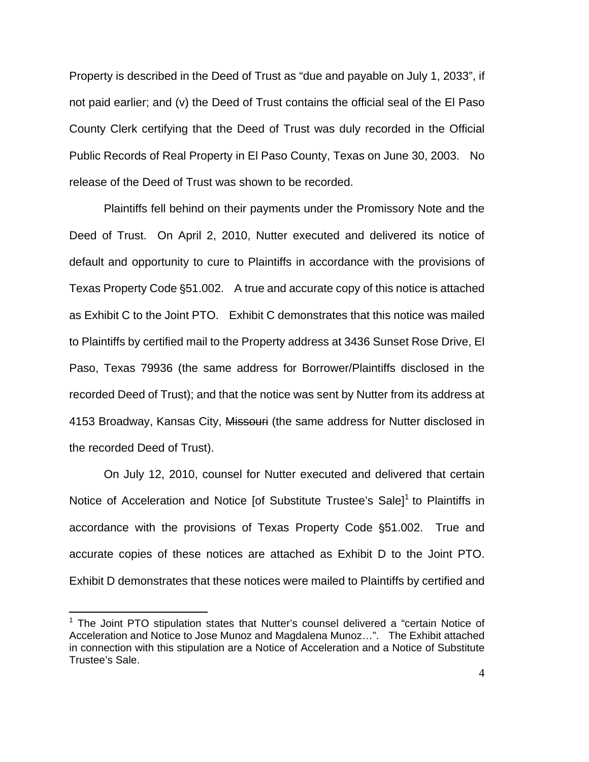Property is described in the Deed of Trust as "due and payable on July 1, 2033", if not paid earlier; and (v) the Deed of Trust contains the official seal of the El Paso County Clerk certifying that the Deed of Trust was duly recorded in the Official Public Records of Real Property in El Paso County, Texas on June 30, 2003. No release of the Deed of Trust was shown to be recorded.

Plaintiffs fell behind on their payments under the Promissory Note and the Deed of Trust. On April 2, 2010, Nutter executed and delivered its notice of default and opportunity to cure to Plaintiffs in accordance with the provisions of Texas Property Code §51.002. A true and accurate copy of this notice is attached as Exhibit C to the Joint PTO. Exhibit C demonstrates that this notice was mailed to Plaintiffs by certified mail to the Property address at 3436 Sunset Rose Drive, El Paso, Texas 79936 (the same address for Borrower/Plaintiffs disclosed in the recorded Deed of Trust); and that the notice was sent by Nutter from its address at 4153 Broadway, Kansas City, Missouri (the same address for Nutter disclosed in the recorded Deed of Trust).

On July 12, 2010, counsel for Nutter executed and delivered that certain Notice of Acceleration and Notice [of Substitute Trustee's Sale]<sup>1</sup> to Plaintiffs in accordance with the provisions of Texas Property Code §51.002. True and accurate copies of these notices are attached as Exhibit D to the Joint PTO. Exhibit D demonstrates that these notices were mailed to Plaintiffs by certified and

<sup>&</sup>lt;sup>1</sup> The Joint PTO stipulation states that Nutter's counsel delivered a "certain Notice of Acceleration and Notice to Jose Munoz and Magdalena Munoz…". The Exhibit attached in connection with this stipulation are a Notice of Acceleration and a Notice of Substitute Trustee's Sale.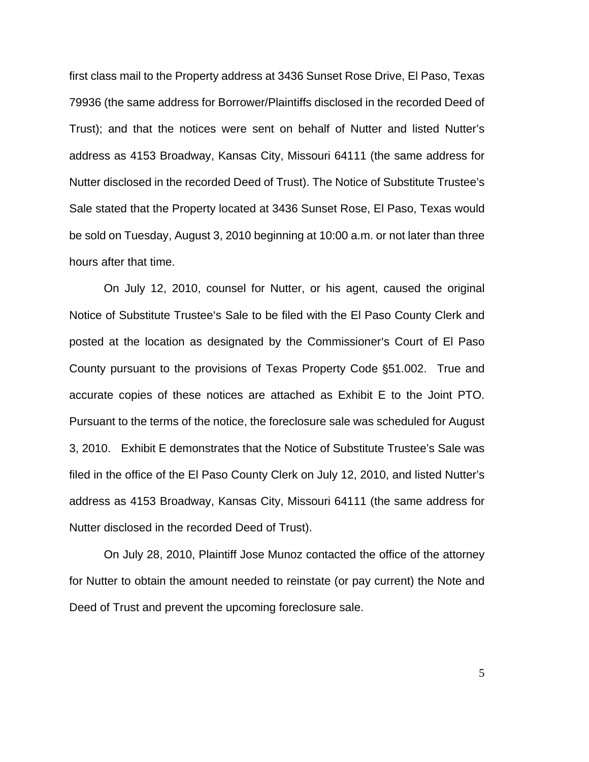first class mail to the Property address at 3436 Sunset Rose Drive, El Paso, Texas 79936 (the same address for Borrower/Plaintiffs disclosed in the recorded Deed of Trust); and that the notices were sent on behalf of Nutter and listed Nutter's address as 4153 Broadway, Kansas City, Missouri 64111 (the same address for Nutter disclosed in the recorded Deed of Trust). The Notice of Substitute Trustee's Sale stated that the Property located at 3436 Sunset Rose, El Paso, Texas would be sold on Tuesday, August 3, 2010 beginning at 10:00 a.m. or not later than three hours after that time.

On July 12, 2010, counsel for Nutter, or his agent, caused the original Notice of Substitute Trustee's Sale to be filed with the El Paso County Clerk and posted at the location as designated by the Commissioner's Court of El Paso County pursuant to the provisions of Texas Property Code §51.002. True and accurate copies of these notices are attached as Exhibit E to the Joint PTO. Pursuant to the terms of the notice, the foreclosure sale was scheduled for August 3, 2010. Exhibit E demonstrates that the Notice of Substitute Trustee's Sale was filed in the office of the El Paso County Clerk on July 12, 2010, and listed Nutter's address as 4153 Broadway, Kansas City, Missouri 64111 (the same address for Nutter disclosed in the recorded Deed of Trust).

On July 28, 2010, Plaintiff Jose Munoz contacted the office of the attorney for Nutter to obtain the amount needed to reinstate (or pay current) the Note and Deed of Trust and prevent the upcoming foreclosure sale.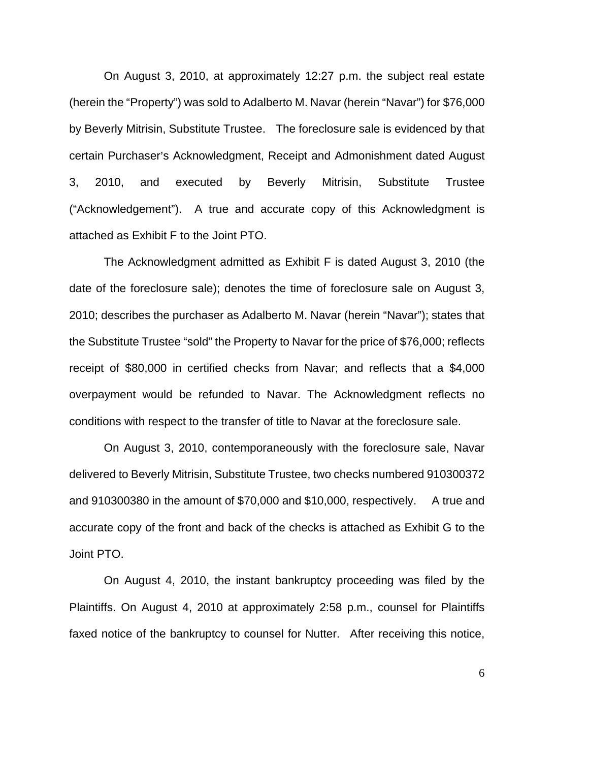On August 3, 2010, at approximately 12:27 p.m. the subject real estate (herein the "Property") was sold to Adalberto M. Navar (herein "Navar") for \$76,000 by Beverly Mitrisin, Substitute Trustee. The foreclosure sale is evidenced by that certain Purchaser's Acknowledgment, Receipt and Admonishment dated August 3, 2010, and executed by Beverly Mitrisin, Substitute Trustee ("Acknowledgement"). A true and accurate copy of this Acknowledgment is attached as Exhibit F to the Joint PTO.

The Acknowledgment admitted as Exhibit F is dated August 3, 2010 (the date of the foreclosure sale); denotes the time of foreclosure sale on August 3, 2010; describes the purchaser as Adalberto M. Navar (herein "Navar"); states that the Substitute Trustee "sold" the Property to Navar for the price of \$76,000; reflects receipt of \$80,000 in certified checks from Navar; and reflects that a \$4,000 overpayment would be refunded to Navar. The Acknowledgment reflects no conditions with respect to the transfer of title to Navar at the foreclosure sale.

On August 3, 2010, contemporaneously with the foreclosure sale, Navar delivered to Beverly Mitrisin, Substitute Trustee, two checks numbered 910300372 and 910300380 in the amount of \$70,000 and \$10,000, respectively. A true and accurate copy of the front and back of the checks is attached as Exhibit G to the Joint PTO.

On August 4, 2010, the instant bankruptcy proceeding was filed by the Plaintiffs. On August 4, 2010 at approximately 2:58 p.m., counsel for Plaintiffs faxed notice of the bankruptcy to counsel for Nutter. After receiving this notice,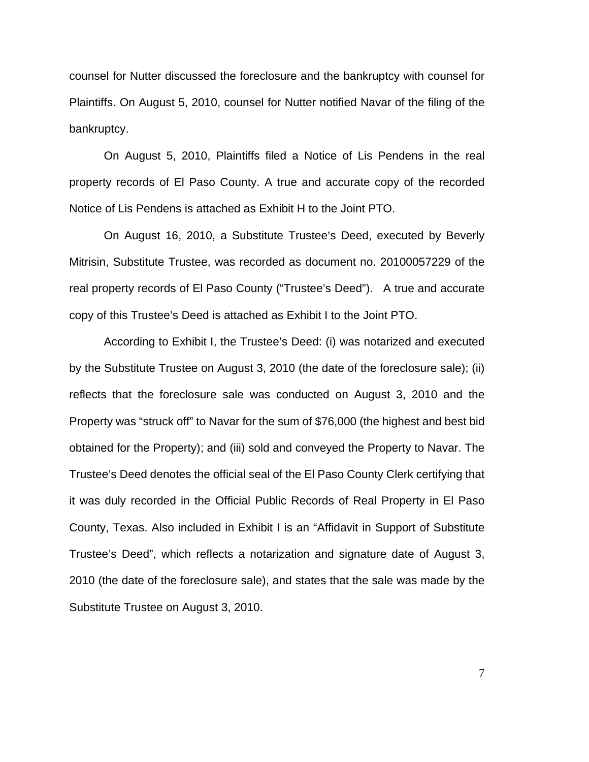counsel for Nutter discussed the foreclosure and the bankruptcy with counsel for Plaintiffs. On August 5, 2010, counsel for Nutter notified Navar of the filing of the bankruptcy.

On August 5, 2010, Plaintiffs filed a Notice of Lis Pendens in the real property records of El Paso County. A true and accurate copy of the recorded Notice of Lis Pendens is attached as Exhibit H to the Joint PTO.

On August 16, 2010, a Substitute Trustee's Deed, executed by Beverly Mitrisin, Substitute Trustee, was recorded as document no. 20100057229 of the real property records of El Paso County ("Trustee's Deed"). A true and accurate copy of this Trustee's Deed is attached as Exhibit I to the Joint PTO.

According to Exhibit I, the Trustee's Deed: (i) was notarized and executed by the Substitute Trustee on August 3, 2010 (the date of the foreclosure sale); (ii) reflects that the foreclosure sale was conducted on August 3, 2010 and the Property was "struck off" to Navar for the sum of \$76,000 (the highest and best bid obtained for the Property); and (iii) sold and conveyed the Property to Navar. The Trustee's Deed denotes the official seal of the El Paso County Clerk certifying that it was duly recorded in the Official Public Records of Real Property in El Paso County, Texas. Also included in Exhibit I is an "Affidavit in Support of Substitute Trustee's Deed", which reflects a notarization and signature date of August 3, 2010 (the date of the foreclosure sale), and states that the sale was made by the Substitute Trustee on August 3, 2010.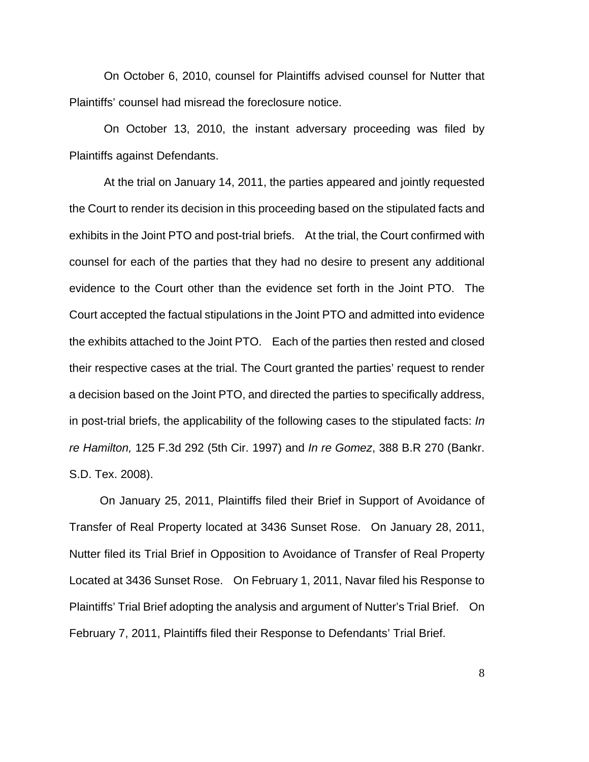On October 6, 2010, counsel for Plaintiffs advised counsel for Nutter that Plaintiffs' counsel had misread the foreclosure notice.

On October 13, 2010, the instant adversary proceeding was filed by Plaintiffs against Defendants.

At the trial on January 14, 2011, the parties appeared and jointly requested the Court to render its decision in this proceeding based on the stipulated facts and exhibits in the Joint PTO and post-trial briefs. At the trial, the Court confirmed with counsel for each of the parties that they had no desire to present any additional evidence to the Court other than the evidence set forth in the Joint PTO. The Court accepted the factual stipulations in the Joint PTO and admitted into evidence the exhibits attached to the Joint PTO. Each of the parties then rested and closed their respective cases at the trial. The Court granted the parties' request to render a decision based on the Joint PTO, and directed the parties to specifically address, in post-trial briefs, the applicability of the following cases to the stipulated facts: *In re Hamilton,* 125 F.3d 292 (5th Cir. 1997) and *In re Gomez*, 388 B.R 270 (Bankr. S.D. Tex. 2008).

 On January 25, 2011, Plaintiffs filed their Brief in Support of Avoidance of Transfer of Real Property located at 3436 Sunset Rose. On January 28, 2011, Nutter filed its Trial Brief in Opposition to Avoidance of Transfer of Real Property Located at 3436 Sunset Rose. On February 1, 2011, Navar filed his Response to Plaintiffs' Trial Brief adopting the analysis and argument of Nutter's Trial Brief. On February 7, 2011, Plaintiffs filed their Response to Defendants' Trial Brief.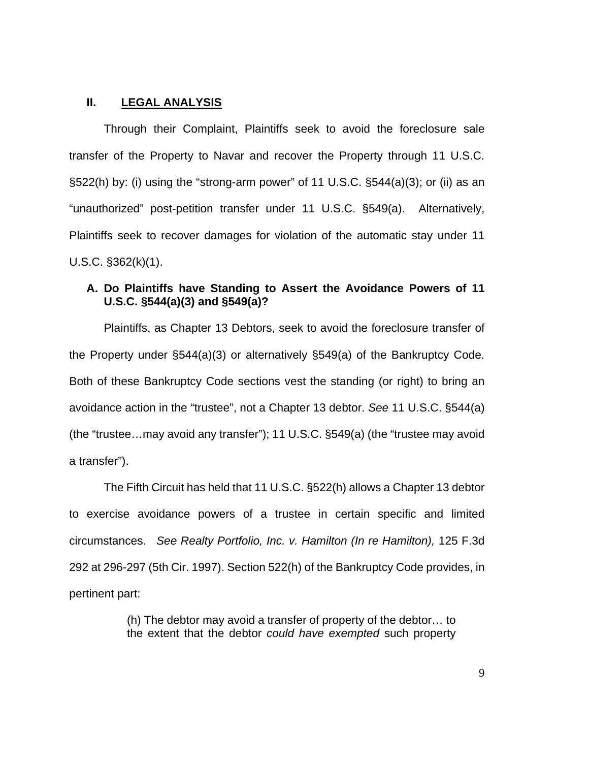## **II. LEGAL ANALYSIS**

 Through their Complaint, Plaintiffs seek to avoid the foreclosure sale transfer of the Property to Navar and recover the Property through 11 U.S.C. §522(h) by: (i) using the "strong-arm power" of 11 U.S.C. §544(a)(3); or (ii) as an "unauthorized" post-petition transfer under 11 U.S.C. §549(a). Alternatively, Plaintiffs seek to recover damages for violation of the automatic stay under 11 U.S.C. §362(k)(1).

# **A. Do Plaintiffs have Standing to Assert the Avoidance Powers of 11 U.S.C. §544(a)(3) and §549(a)?**

Plaintiffs, as Chapter 13 Debtors, seek to avoid the foreclosure transfer of the Property under §544(a)(3) or alternatively §549(a) of the Bankruptcy Code. Both of these Bankruptcy Code sections vest the standing (or right) to bring an avoidance action in the "trustee", not a Chapter 13 debtor. *See* 11 U.S.C. §544(a) (the "trustee…may avoid any transfer"); 11 U.S.C. §549(a) (the "trustee may avoid a transfer").

The Fifth Circuit has held that 11 U.S.C. §522(h) allows a Chapter 13 debtor to exercise avoidance powers of a trustee in certain specific and limited circumstances. *See Realty Portfolio, Inc. v. Hamilton (In re Hamilton),* 125 F.3d 292 at 296-297 (5th Cir. 1997). Section 522(h) of the Bankruptcy Code provides, in pertinent part:

> (h) The debtor may avoid a transfer of property of the debtor… to the extent that the debtor *could have exempted* such property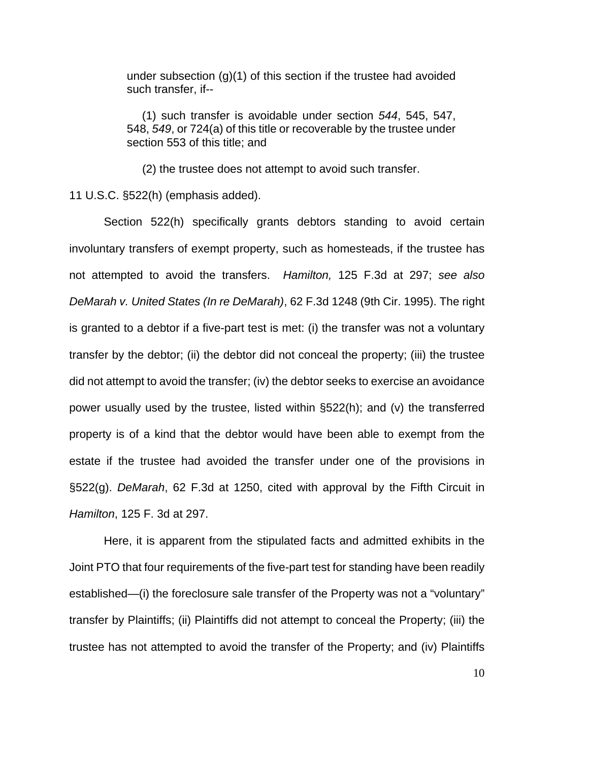under subsection (g)(1) of this section if the trustee had avoided such transfer, if--

 (1) such transfer is avoidable under section *544*, 545, 547, 548, *549*, or 724(a) of this title or recoverable by the trustee under section 553 of this title; and

(2) the trustee does not attempt to avoid such transfer.

11 U.S.C. §522(h) (emphasis added).

Section 522(h) specifically grants debtors standing to avoid certain involuntary transfers of exempt property, such as homesteads, if the trustee has not attempted to avoid the transfers. *Hamilton,* 125 F.3d at 297; *see also DeMarah v. United States (In re DeMarah)*, 62 F.3d 1248 (9th Cir. 1995). The right is granted to a debtor if a five-part test is met: (i) the transfer was not a voluntary transfer by the debtor; (ii) the debtor did not conceal the property; (iii) the trustee did not attempt to avoid the transfer; (iv) the debtor seeks to exercise an avoidance power usually used by the trustee, listed within §522(h); and (v) the transferred property is of a kind that the debtor would have been able to exempt from the estate if the trustee had avoided the transfer under one of the provisions in §522(g). *DeMarah*, 62 F.3d at 1250, cited with approval by the Fifth Circuit in *Hamilton*, 125 F. 3d at 297.

Here, it is apparent from the stipulated facts and admitted exhibits in the Joint PTO that four requirements of the five-part test for standing have been readily established—(i) the foreclosure sale transfer of the Property was not a "voluntary" transfer by Plaintiffs; (ii) Plaintiffs did not attempt to conceal the Property; (iii) the trustee has not attempted to avoid the transfer of the Property; and (iv) Plaintiffs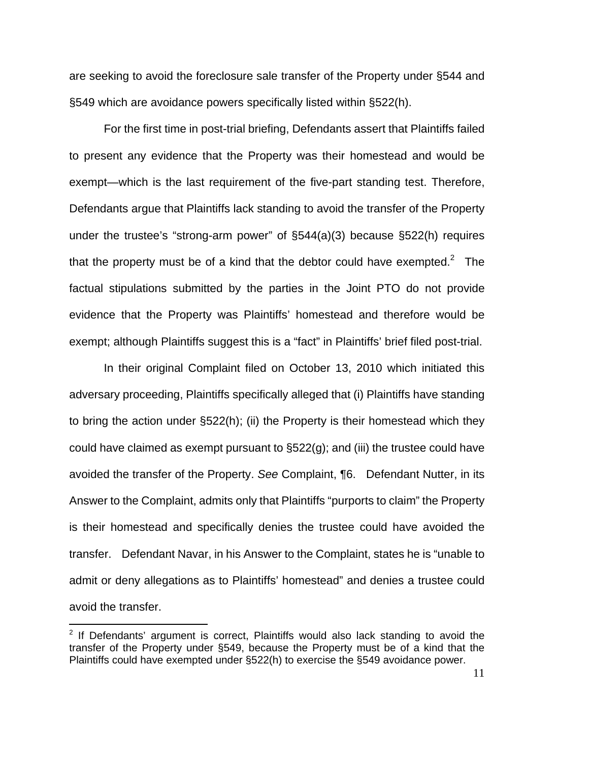are seeking to avoid the foreclosure sale transfer of the Property under §544 and §549 which are avoidance powers specifically listed within §522(h).

For the first time in post-trial briefing, Defendants assert that Plaintiffs failed to present any evidence that the Property was their homestead and would be exempt—which is the last requirement of the five-part standing test. Therefore, Defendants argue that Plaintiffs lack standing to avoid the transfer of the Property under the trustee's "strong-arm power" of §544(a)(3) because §522(h) requires that the property must be of a kind that the debtor could have exempted.<sup>2</sup> The factual stipulations submitted by the parties in the Joint PTO do not provide evidence that the Property was Plaintiffs' homestead and therefore would be exempt; although Plaintiffs suggest this is a "fact" in Plaintiffs' brief filed post-trial.

In their original Complaint filed on October 13, 2010 which initiated this adversary proceeding, Plaintiffs specifically alleged that (i) Plaintiffs have standing to bring the action under §522(h); (ii) the Property is their homestead which they could have claimed as exempt pursuant to §522(g); and (iii) the trustee could have avoided the transfer of the Property. *See* Complaint, ¶6. Defendant Nutter, in its Answer to the Complaint, admits only that Plaintiffs "purports to claim" the Property is their homestead and specifically denies the trustee could have avoided the transfer. Defendant Navar, in his Answer to the Complaint, states he is "unable to admit or deny allegations as to Plaintiffs' homestead" and denies a trustee could avoid the transfer.

<u>.</u>

 $2$  If Defendants' argument is correct, Plaintiffs would also lack standing to avoid the transfer of the Property under §549, because the Property must be of a kind that the Plaintiffs could have exempted under §522(h) to exercise the §549 avoidance power.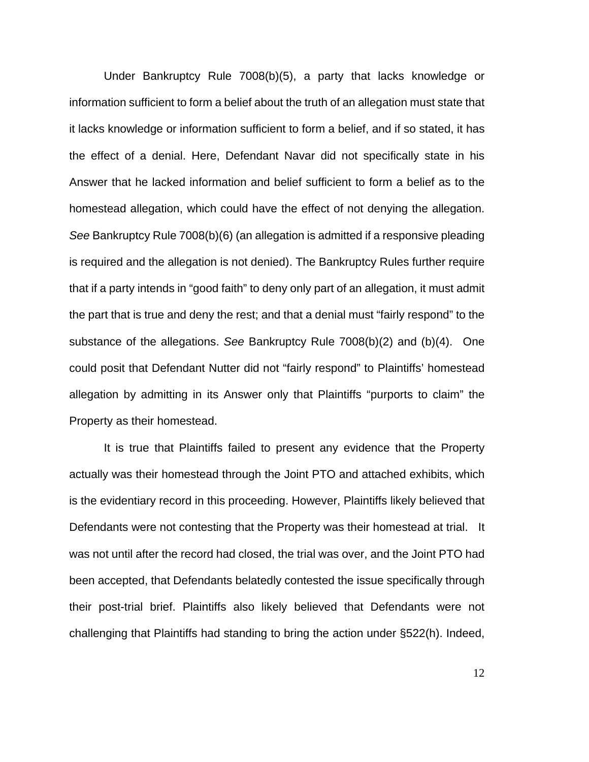Under Bankruptcy Rule 7008(b)(5), a party that lacks knowledge or information sufficient to form a belief about the truth of an allegation must state that it lacks knowledge or information sufficient to form a belief, and if so stated, it has the effect of a denial. Here, Defendant Navar did not specifically state in his Answer that he lacked information and belief sufficient to form a belief as to the homestead allegation, which could have the effect of not denying the allegation. *See* Bankruptcy Rule 7008(b)(6) (an allegation is admitted if a responsive pleading is required and the allegation is not denied). The Bankruptcy Rules further require that if a party intends in "good faith" to deny only part of an allegation, it must admit the part that is true and deny the rest; and that a denial must "fairly respond" to the substance of the allegations. *See* Bankruptcy Rule 7008(b)(2) and (b)(4). One could posit that Defendant Nutter did not "fairly respond" to Plaintiffs' homestead allegation by admitting in its Answer only that Plaintiffs "purports to claim" the Property as their homestead.

It is true that Plaintiffs failed to present any evidence that the Property actually was their homestead through the Joint PTO and attached exhibits, which is the evidentiary record in this proceeding. However, Plaintiffs likely believed that Defendants were not contesting that the Property was their homestead at trial. It was not until after the record had closed, the trial was over, and the Joint PTO had been accepted, that Defendants belatedly contested the issue specifically through their post-trial brief. Plaintiffs also likely believed that Defendants were not challenging that Plaintiffs had standing to bring the action under §522(h). Indeed,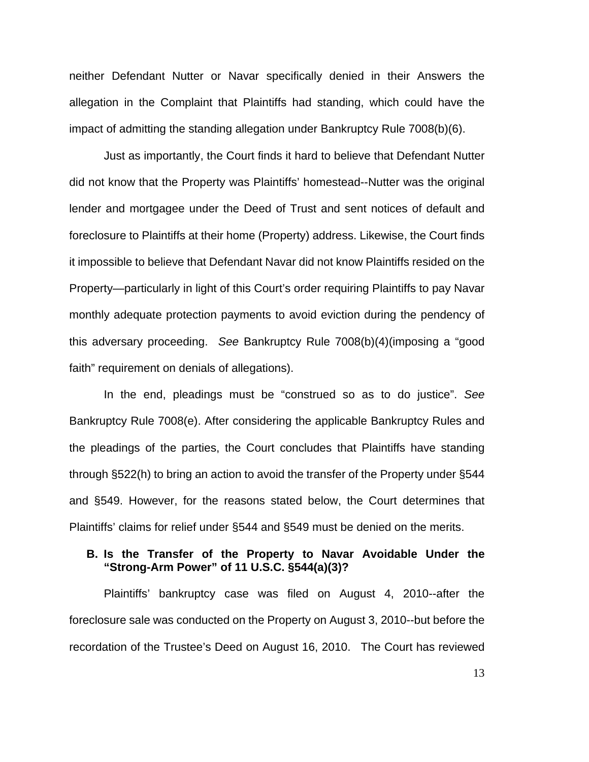neither Defendant Nutter or Navar specifically denied in their Answers the allegation in the Complaint that Plaintiffs had standing, which could have the impact of admitting the standing allegation under Bankruptcy Rule 7008(b)(6).

Just as importantly, the Court finds it hard to believe that Defendant Nutter did not know that the Property was Plaintiffs' homestead--Nutter was the original lender and mortgagee under the Deed of Trust and sent notices of default and foreclosure to Plaintiffs at their home (Property) address. Likewise, the Court finds it impossible to believe that Defendant Navar did not know Plaintiffs resided on the Property—particularly in light of this Court's order requiring Plaintiffs to pay Navar monthly adequate protection payments to avoid eviction during the pendency of this adversary proceeding. *See* Bankruptcy Rule 7008(b)(4)(imposing a "good faith" requirement on denials of allegations).

In the end, pleadings must be "construed so as to do justice". *See* Bankruptcy Rule 7008(e). After considering the applicable Bankruptcy Rules and the pleadings of the parties, the Court concludes that Plaintiffs have standing through §522(h) to bring an action to avoid the transfer of the Property under §544 and §549. However, for the reasons stated below, the Court determines that Plaintiffs' claims for relief under §544 and §549 must be denied on the merits.

### **B. Is the Transfer of the Property to Navar Avoidable Under the "Strong-Arm Power" of 11 U.S.C. §544(a)(3)?**

Plaintiffs' bankruptcy case was filed on August 4, 2010--after the foreclosure sale was conducted on the Property on August 3, 2010--but before the recordation of the Trustee's Deed on August 16, 2010. The Court has reviewed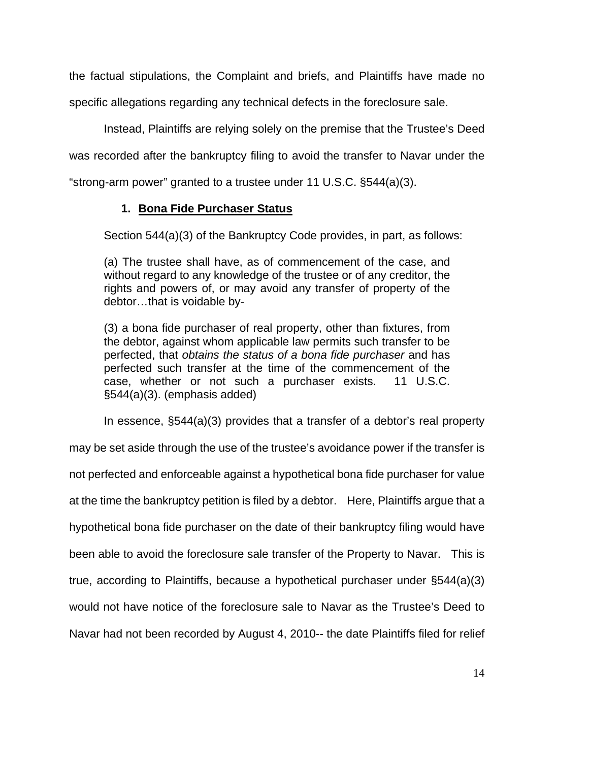the factual stipulations, the Complaint and briefs, and Plaintiffs have made no specific allegations regarding any technical defects in the foreclosure sale.

Instead, Plaintiffs are relying solely on the premise that the Trustee's Deed was recorded after the bankruptcy filing to avoid the transfer to Navar under the "strong-arm power" granted to a trustee under 11 U.S.C. §544(a)(3).

# **1. Bona Fide Purchaser Status**

Section 544(a)(3) of the Bankruptcy Code provides, in part, as follows:

(a) The trustee shall have, as of commencement of the case, and without regard to any knowledge of the trustee or of any creditor, the rights and powers of, or may avoid any transfer of property of the debtor…that is voidable by-

(3) a bona fide purchaser of real property, other than fixtures, from the debtor, against whom applicable law permits such transfer to be perfected, that *obtains the status of a bona fide purchaser* and has perfected such transfer at the time of the commencement of the case, whether or not such a purchaser exists. 11 U.S.C. §544(a)(3). (emphasis added)

In essence, §544(a)(3) provides that a transfer of a debtor's real property

may be set aside through the use of the trustee's avoidance power if the transfer is not perfected and enforceable against a hypothetical bona fide purchaser for value at the time the bankruptcy petition is filed by a debtor. Here, Plaintiffs argue that a hypothetical bona fide purchaser on the date of their bankruptcy filing would have been able to avoid the foreclosure sale transfer of the Property to Navar. This is true, according to Plaintiffs, because a hypothetical purchaser under §544(a)(3) would not have notice of the foreclosure sale to Navar as the Trustee's Deed to Navar had not been recorded by August 4, 2010-- the date Plaintiffs filed for relief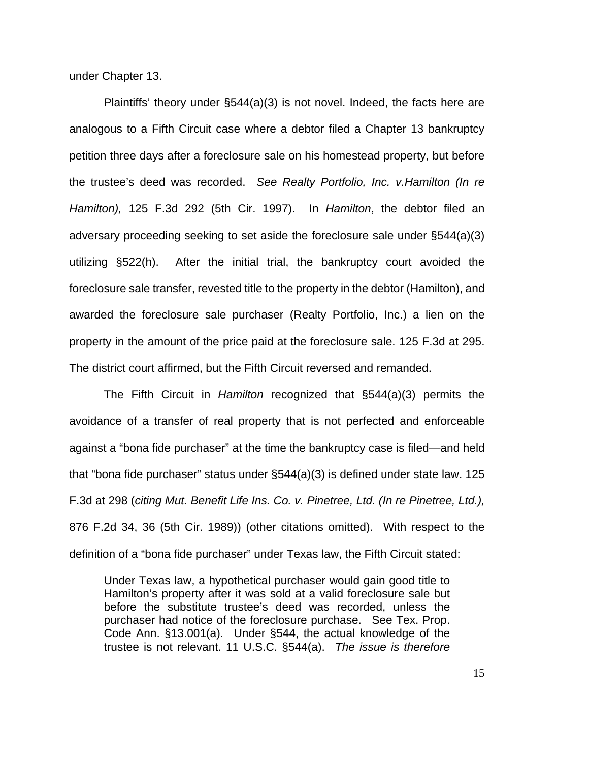under Chapter 13.

Plaintiffs' theory under §544(a)(3) is not novel. Indeed, the facts here are analogous to a Fifth Circuit case where a debtor filed a Chapter 13 bankruptcy petition three days after a foreclosure sale on his homestead property, but before the trustee's deed was recorded. *See Realty Portfolio, Inc. v.Hamilton (In re Hamilton),* 125 F.3d 292 (5th Cir. 1997). In *Hamilton*, the debtor filed an adversary proceeding seeking to set aside the foreclosure sale under §544(a)(3) utilizing §522(h). After the initial trial, the bankruptcy court avoided the foreclosure sale transfer, revested title to the property in the debtor (Hamilton), and awarded the foreclosure sale purchaser (Realty Portfolio, Inc.) a lien on the property in the amount of the price paid at the foreclosure sale. 125 F.3d at 295. The district court affirmed, but the Fifth Circuit reversed and remanded.

 The Fifth Circuit in *Hamilton* recognized that §544(a)(3) permits the avoidance of a transfer of real property that is not perfected and enforceable against a "bona fide purchaser" at the time the bankruptcy case is filed—and held that "bona fide purchaser" status under §544(a)(3) is defined under state law. 125 F.3d at 298 (*citing Mut. Benefit Life Ins. Co. v. Pinetree, Ltd. (In re Pinetree, Ltd.),* 876 F.2d 34, 36 (5th Cir. 1989)) (other citations omitted). With respect to the definition of a "bona fide purchaser" under Texas law, the Fifth Circuit stated:

Under Texas law, a hypothetical purchaser would gain good title to Hamilton's property after it was sold at a valid foreclosure sale but before the substitute trustee's deed was recorded, unless the purchaser had notice of the foreclosure purchase. See Tex. Prop. Code Ann. §13.001(a). Under §544, the actual knowledge of the trustee is not relevant. 11 U.S.C. §544(a). *The issue is therefore*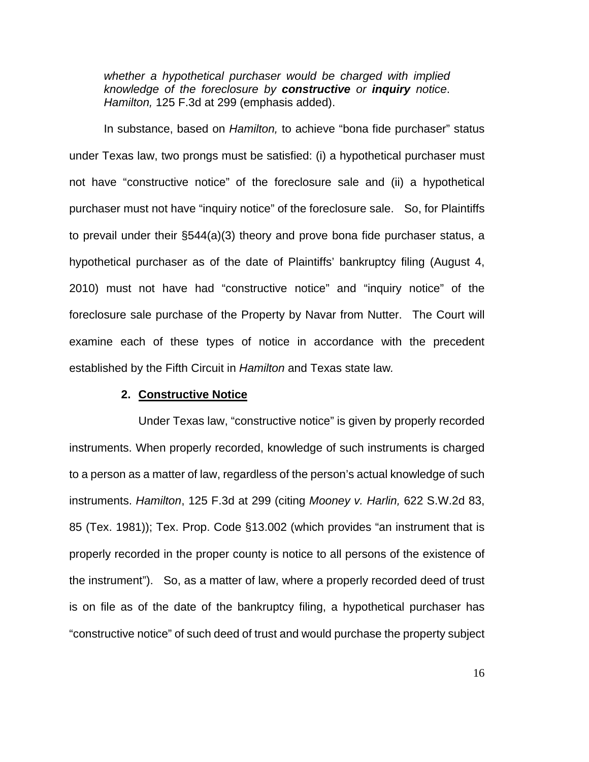*whether a hypothetical purchaser would be charged with implied knowledge of the foreclosure by constructive or inquiry notice*. *Hamilton,* 125 F.3d at 299 (emphasis added).

In substance, based on *Hamilton,* to achieve "bona fide purchaser" status under Texas law, two prongs must be satisfied: (i) a hypothetical purchaser must not have "constructive notice" of the foreclosure sale and (ii) a hypothetical purchaser must not have "inquiry notice" of the foreclosure sale. So, for Plaintiffs to prevail under their §544(a)(3) theory and prove bona fide purchaser status, a hypothetical purchaser as of the date of Plaintiffs' bankruptcy filing (August 4, 2010) must not have had "constructive notice" and "inquiry notice" of the foreclosure sale purchase of the Property by Navar from Nutter. The Court will examine each of these types of notice in accordance with the precedent established by the Fifth Circuit in *Hamilton* and Texas state law*.*

#### **2. Constructive Notice**

Under Texas law, "constructive notice" is given by properly recorded instruments. When properly recorded, knowledge of such instruments is charged to a person as a matter of law, regardless of the person's actual knowledge of such instruments. *Hamilton*, 125 F.3d at 299 (citing *Mooney v. Harlin,* 622 S.W.2d 83, 85 (Tex. 1981)); Tex. Prop. Code §13.002 (which provides "an instrument that is properly recorded in the proper county is notice to all persons of the existence of the instrument"). So, as a matter of law, where a properly recorded deed of trust is on file as of the date of the bankruptcy filing, a hypothetical purchaser has "constructive notice" of such deed of trust and would purchase the property subject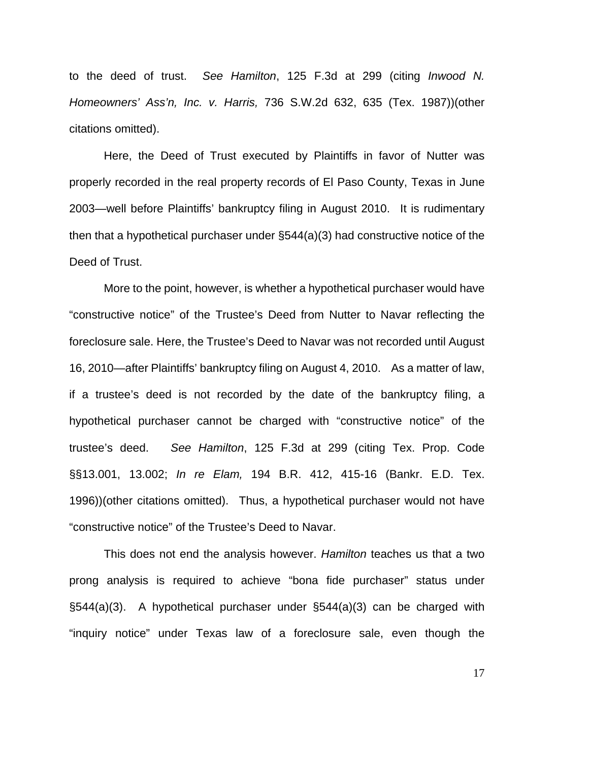to the deed of trust. *See Hamilton*, 125 F.3d at 299 (citing *Inwood N. Homeowners' Ass'n, Inc. v. Harris,* 736 S.W.2d 632, 635 (Tex. 1987))(other citations omitted).

Here, the Deed of Trust executed by Plaintiffs in favor of Nutter was properly recorded in the real property records of El Paso County, Texas in June 2003—well before Plaintiffs' bankruptcy filing in August 2010. It is rudimentary then that a hypothetical purchaser under §544(a)(3) had constructive notice of the Deed of Trust.

More to the point, however, is whether a hypothetical purchaser would have "constructive notice" of the Trustee's Deed from Nutter to Navar reflecting the foreclosure sale. Here, the Trustee's Deed to Navar was not recorded until August 16, 2010—after Plaintiffs' bankruptcy filing on August 4, 2010. As a matter of law, if a trustee's deed is not recorded by the date of the bankruptcy filing, a hypothetical purchaser cannot be charged with "constructive notice" of the trustee's deed. *See Hamilton*, 125 F.3d at 299 (citing Tex. Prop. Code §§13.001, 13.002; *In re Elam,* 194 B.R. 412, 415-16 (Bankr. E.D. Tex. 1996))(other citations omitted). Thus, a hypothetical purchaser would not have "constructive notice" of the Trustee's Deed to Navar.

 This does not end the analysis however. *Hamilton* teaches us that a two prong analysis is required to achieve "bona fide purchaser" status under §544(a)(3). A hypothetical purchaser under §544(a)(3) can be charged with "inquiry notice" under Texas law of a foreclosure sale, even though the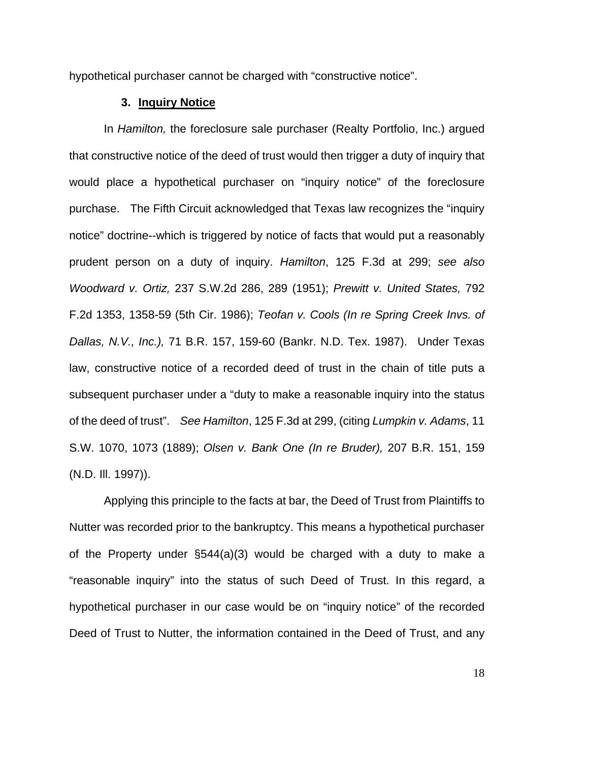hypothetical purchaser cannot be charged with "constructive notice".

## **3. Inquiry Notice**

 In *Hamilton,* the foreclosure sale purchaser (Realty Portfolio, Inc.) argued that constructive notice of the deed of trust would then trigger a duty of inquiry that would place a hypothetical purchaser on "inquiry notice" of the foreclosure purchase. The Fifth Circuit acknowledged that Texas law recognizes the "inquiry notice" doctrine--which is triggered by notice of facts that would put a reasonably prudent person on a duty of inquiry. *Hamilton*, 125 F.3d at 299; *see also Woodward v. Ortiz,* 237 S.W.2d 286, 289 (1951); *Prewitt v. United States,* 792 F.2d 1353, 1358-59 (5th Cir. 1986); *Teofan v. Cools (In re Spring Creek Invs. of Dallas, N.V., Inc.),* 71 B.R. 157, 159-60 (Bankr. N.D. Tex. 1987). Under Texas law, constructive notice of a recorded deed of trust in the chain of title puts a subsequent purchaser under a "duty to make a reasonable inquiry into the status of the deed of trust". *See Hamilton*, 125 F.3d at 299, (citing *Lumpkin v. Adams*, 11 S.W. 1070, 1073 (1889); *Olsen v. Bank One (In re Bruder),* 207 B.R. 151, 159 (N.D. Ill. 1997)).

 Applying this principle to the facts at bar, the Deed of Trust from Plaintiffs to Nutter was recorded prior to the bankruptcy. This means a hypothetical purchaser of the Property under §544(a)(3) would be charged with a duty to make a "reasonable inquiry" into the status of such Deed of Trust. In this regard, a hypothetical purchaser in our case would be on "inquiry notice" of the recorded Deed of Trust to Nutter, the information contained in the Deed of Trust, and any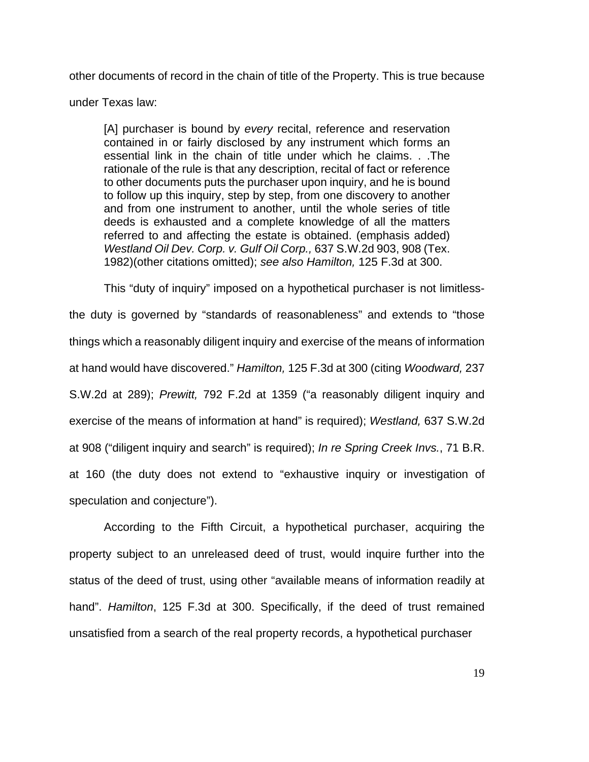other documents of record in the chain of title of the Property. This is true because

under Texas law:

[A] purchaser is bound by *every* recital, reference and reservation contained in or fairly disclosed by any instrument which forms an essential link in the chain of title under which he claims. . .The rationale of the rule is that any description, recital of fact or reference to other documents puts the purchaser upon inquiry, and he is bound to follow up this inquiry, step by step, from one discovery to another and from one instrument to another, until the whole series of title deeds is exhausted and a complete knowledge of all the matters referred to and affecting the estate is obtained. (emphasis added) *Westland Oil Dev. Corp. v. Gulf Oil Corp.,* 637 S.W.2d 903, 908 (Tex. 1982)(other citations omitted); *see also Hamilton,* 125 F.3d at 300.

 This "duty of inquiry" imposed on a hypothetical purchaser is not limitlessthe duty is governed by "standards of reasonableness" and extends to "those things which a reasonably diligent inquiry and exercise of the means of information at hand would have discovered." *Hamilton,* 125 F.3d at 300 (citing *Woodward,* 237 S.W.2d at 289); *Prewitt,* 792 F.2d at 1359 ("a reasonably diligent inquiry and exercise of the means of information at hand" is required); *Westland,* 637 S.W.2d at 908 ("diligent inquiry and search" is required); *In re Spring Creek Invs.*, 71 B.R. at 160 (the duty does not extend to "exhaustive inquiry or investigation of speculation and conjecture").

 According to the Fifth Circuit, a hypothetical purchaser, acquiring the property subject to an unreleased deed of trust, would inquire further into the status of the deed of trust, using other "available means of information readily at hand". *Hamilton*, 125 F.3d at 300. Specifically, if the deed of trust remained unsatisfied from a search of the real property records, a hypothetical purchaser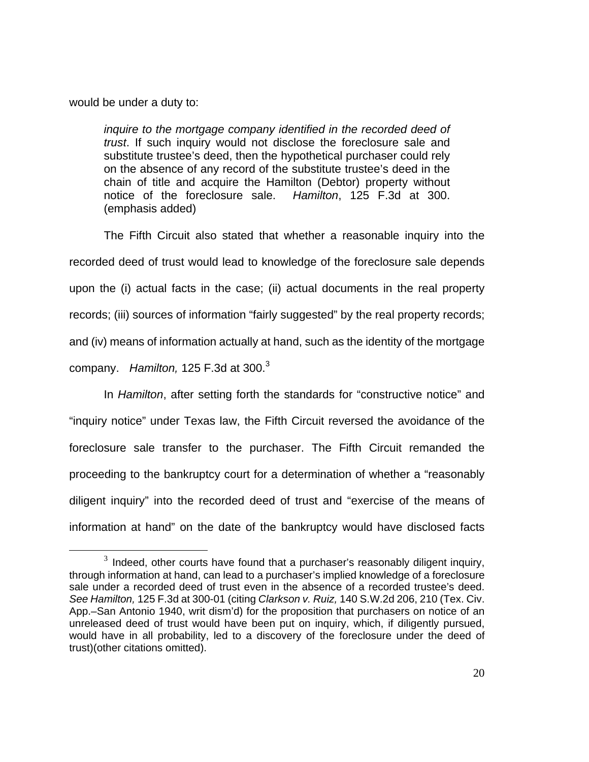would be under a duty to:

*inquire to the mortgage company identified in the recorded deed of trust*. If such inquiry would not disclose the foreclosure sale and substitute trustee's deed, then the hypothetical purchaser could rely on the absence of any record of the substitute trustee's deed in the chain of title and acquire the Hamilton (Debtor) property without notice of the foreclosure sale. *Hamilton*, 125 F.3d at 300. (emphasis added)

The Fifth Circuit also stated that whether a reasonable inquiry into the recorded deed of trust would lead to knowledge of the foreclosure sale depends upon the (i) actual facts in the case; (ii) actual documents in the real property records; (iii) sources of information "fairly suggested" by the real property records; and (iv) means of information actually at hand, such as the identity of the mortgage company. *Hamilton,* 125 F.3d at 300.<sup>3</sup>

In *Hamilton*, after setting forth the standards for "constructive notice" and "inquiry notice" under Texas law, the Fifth Circuit reversed the avoidance of the foreclosure sale transfer to the purchaser. The Fifth Circuit remanded the proceeding to the bankruptcy court for a determination of whether a "reasonably diligent inquiry" into the recorded deed of trust and "exercise of the means of information at hand" on the date of the bankruptcy would have disclosed facts

 $3$  Indeed, other courts have found that a purchaser's reasonably diligent inquiry, through information at hand, can lead to a purchaser's implied knowledge of a foreclosure sale under a recorded deed of trust even in the absence of a recorded trustee's deed. *See Hamilton,* 125 F.3d at 300-01 (citing *Clarkson v. Ruiz,* 140 S.W.2d 206, 210 (Tex. Civ. App.–San Antonio 1940, writ dism'd) for the proposition that purchasers on notice of an unreleased deed of trust would have been put on inquiry, which, if diligently pursued, would have in all probability, led to a discovery of the foreclosure under the deed of trust)(other citations omitted).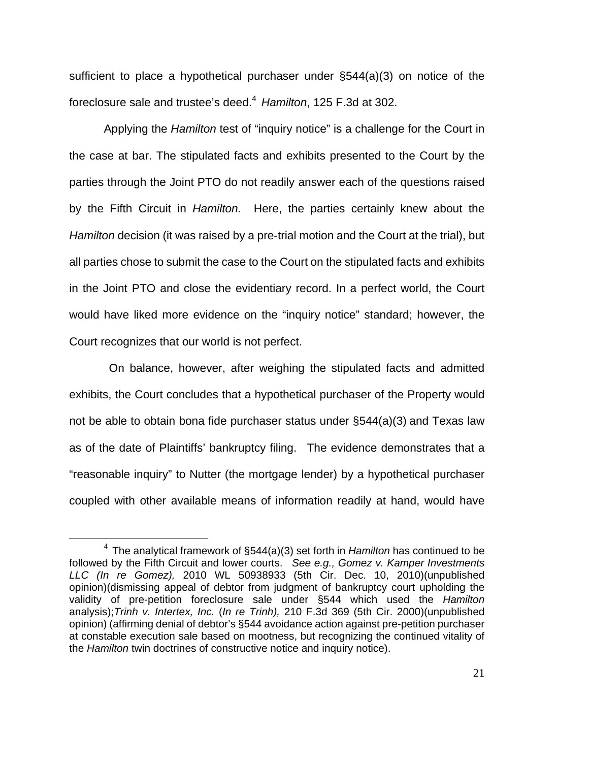sufficient to place a hypothetical purchaser under §544(a)(3) on notice of the foreclosure sale and trustee's deed.<sup>4</sup> *Hamilton*, 125 F.3d at 302.

Applying the *Hamilton* test of "inquiry notice" is a challenge for the Court in the case at bar. The stipulated facts and exhibits presented to the Court by the parties through the Joint PTO do not readily answer each of the questions raised by the Fifth Circuit in *Hamilton.* Here, the parties certainly knew about the *Hamilton* decision (it was raised by a pre-trial motion and the Court at the trial), but all parties chose to submit the case to the Court on the stipulated facts and exhibits in the Joint PTO and close the evidentiary record. In a perfect world, the Court would have liked more evidence on the "inquiry notice" standard; however, the Court recognizes that our world is not perfect.

 On balance, however, after weighing the stipulated facts and admitted exhibits, the Court concludes that a hypothetical purchaser of the Property would not be able to obtain bona fide purchaser status under §544(a)(3) and Texas law as of the date of Plaintiffs' bankruptcy filing. The evidence demonstrates that a "reasonable inquiry" to Nutter (the mortgage lender) by a hypothetical purchaser coupled with other available means of information readily at hand, would have

 <sup>4</sup> The analytical framework of §544(a)(3) set forth in *Hamilton* has continued to be followed by the Fifth Circuit and lower courts. *See e.g., Gomez v. Kamper Investments LLC (In re Gomez),* 2010 WL 50938933 (5th Cir. Dec. 10, 2010)(unpublished opinion)(dismissing appeal of debtor from judgment of bankruptcy court upholding the validity of pre-petition foreclosure sale under §544 which used the *Hamilton* analysis);*Trinh v. Intertex, Inc.* (*In re Trinh),* 210 F.3d 369 (5th Cir. 2000)(unpublished opinion) (affirming denial of debtor's §544 avoidance action against pre-petition purchaser at constable execution sale based on mootness, but recognizing the continued vitality of the *Hamilton* twin doctrines of constructive notice and inquiry notice).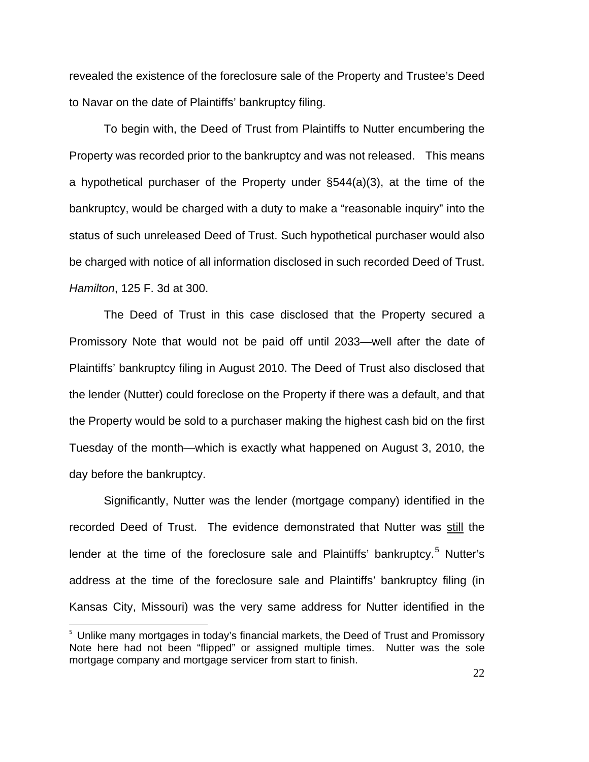revealed the existence of the foreclosure sale of the Property and Trustee's Deed to Navar on the date of Plaintiffs' bankruptcy filing.

To begin with, the Deed of Trust from Plaintiffs to Nutter encumbering the Property was recorded prior to the bankruptcy and was not released. This means a hypothetical purchaser of the Property under §544(a)(3), at the time of the bankruptcy, would be charged with a duty to make a "reasonable inquiry" into the status of such unreleased Deed of Trust. Such hypothetical purchaser would also be charged with notice of all information disclosed in such recorded Deed of Trust. *Hamilton*, 125 F. 3d at 300.

The Deed of Trust in this case disclosed that the Property secured a Promissory Note that would not be paid off until 2033—well after the date of Plaintiffs' bankruptcy filing in August 2010. The Deed of Trust also disclosed that the lender (Nutter) could foreclose on the Property if there was a default, and that the Property would be sold to a purchaser making the highest cash bid on the first Tuesday of the month—which is exactly what happened on August 3, 2010, the day before the bankruptcy.

Significantly, Nutter was the lender (mortgage company) identified in the recorded Deed of Trust. The evidence demonstrated that Nutter was still the lender at the time of the foreclosure sale and Plaintiffs' bankruptcy.<sup>5</sup> Nutter's address at the time of the foreclosure sale and Plaintiffs' bankruptcy filing (in Kansas City, Missouri) was the very same address for Nutter identified in the

 $\overline{a}$ 

<sup>&</sup>lt;sup>5</sup> Unlike many mortgages in today's financial markets, the Deed of Trust and Promissory Note here had not been "flipped" or assigned multiple times. Nutter was the sole mortgage company and mortgage servicer from start to finish.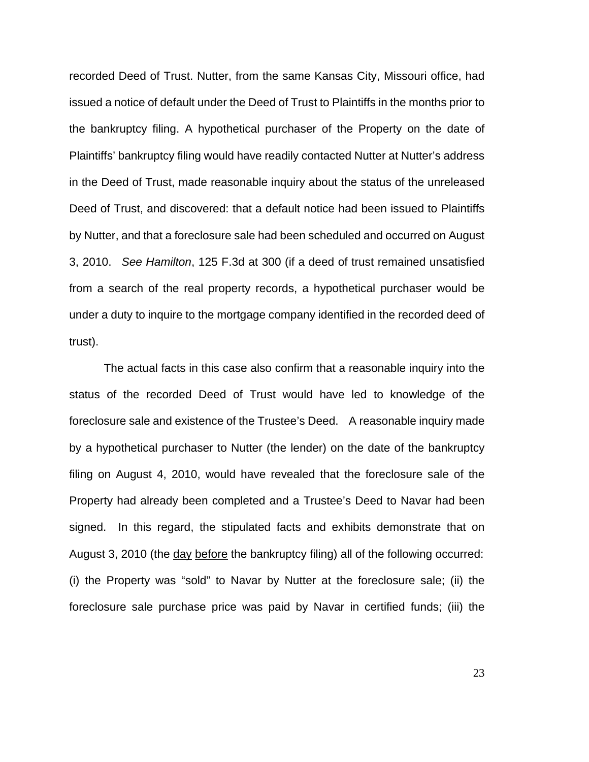recorded Deed of Trust. Nutter, from the same Kansas City, Missouri office, had issued a notice of default under the Deed of Trust to Plaintiffs in the months prior to the bankruptcy filing. A hypothetical purchaser of the Property on the date of Plaintiffs' bankruptcy filing would have readily contacted Nutter at Nutter's address in the Deed of Trust, made reasonable inquiry about the status of the unreleased Deed of Trust, and discovered: that a default notice had been issued to Plaintiffs by Nutter, and that a foreclosure sale had been scheduled and occurred on August 3, 2010. *See Hamilton*, 125 F.3d at 300 (if a deed of trust remained unsatisfied from a search of the real property records, a hypothetical purchaser would be under a duty to inquire to the mortgage company identified in the recorded deed of trust).

The actual facts in this case also confirm that a reasonable inquiry into the status of the recorded Deed of Trust would have led to knowledge of the foreclosure sale and existence of the Trustee's Deed. A reasonable inquiry made by a hypothetical purchaser to Nutter (the lender) on the date of the bankruptcy filing on August 4, 2010, would have revealed that the foreclosure sale of the Property had already been completed and a Trustee's Deed to Navar had been signed. In this regard, the stipulated facts and exhibits demonstrate that on August 3, 2010 (the day before the bankruptcy filing) all of the following occurred: (i) the Property was "sold" to Navar by Nutter at the foreclosure sale; (ii) the foreclosure sale purchase price was paid by Navar in certified funds; (iii) the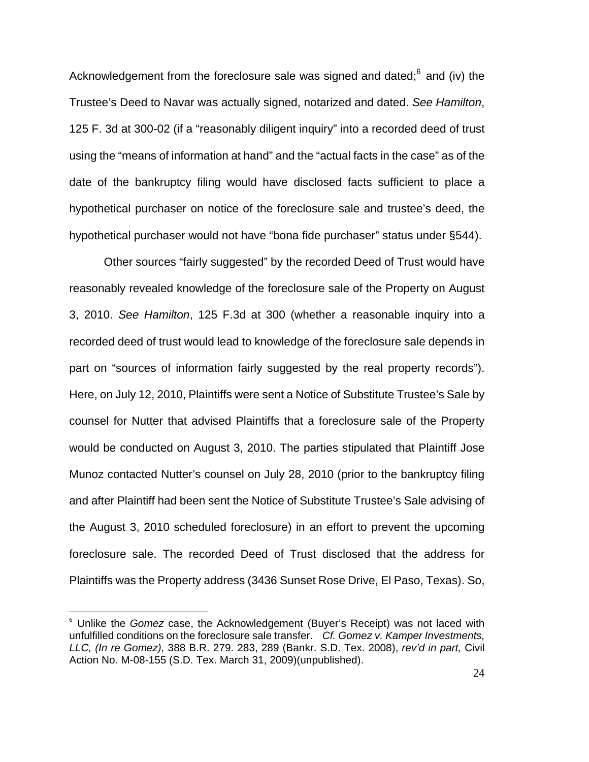Acknowledgement from the foreclosure sale was signed and dated;<sup>6</sup> and (iv) the Trustee's Deed to Navar was actually signed, notarized and dated. *See Hamilton*, 125 F. 3d at 300-02 (if a "reasonably diligent inquiry" into a recorded deed of trust using the "means of information at hand" and the "actual facts in the case" as of the date of the bankruptcy filing would have disclosed facts sufficient to place a hypothetical purchaser on notice of the foreclosure sale and trustee's deed, the hypothetical purchaser would not have "bona fide purchaser" status under §544).

Other sources "fairly suggested" by the recorded Deed of Trust would have reasonably revealed knowledge of the foreclosure sale of the Property on August 3, 2010. *See Hamilton*, 125 F.3d at 300 (whether a reasonable inquiry into a recorded deed of trust would lead to knowledge of the foreclosure sale depends in part on "sources of information fairly suggested by the real property records"). Here, on July 12, 2010, Plaintiffs were sent a Notice of Substitute Trustee's Sale by counsel for Nutter that advised Plaintiffs that a foreclosure sale of the Property would be conducted on August 3, 2010. The parties stipulated that Plaintiff Jose Munoz contacted Nutter's counsel on July 28, 2010 (prior to the bankruptcy filing and after Plaintiff had been sent the Notice of Substitute Trustee's Sale advising of the August 3, 2010 scheduled foreclosure) in an effort to prevent the upcoming foreclosure sale. The recorded Deed of Trust disclosed that the address for Plaintiffs was the Property address (3436 Sunset Rose Drive, El Paso, Texas). So,

 $\overline{a}$ 

<sup>&</sup>lt;sup>6</sup> Unlike the *Gomez* case, the Acknowledgement (Buyer's Receipt) was not laced with unfulfilled conditions on the foreclosure sale transfer. *Cf. Gomez v. Kamper Investments, LLC, (In re Gomez),* 388 B.R. 279. 283, 289 (Bankr. S.D. Tex. 2008), *rev'd in part,* Civil Action No. M-08-155 (S.D. Tex. March 31, 2009)(unpublished).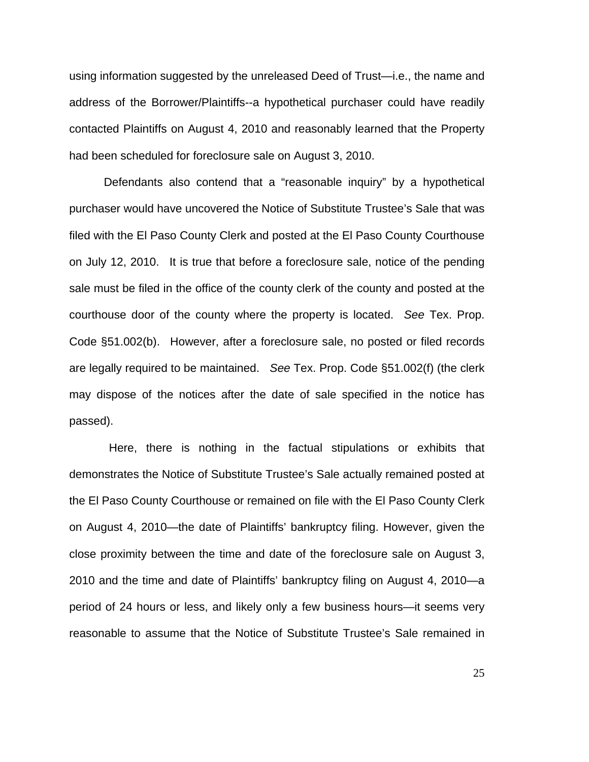using information suggested by the unreleased Deed of Trust—i.e., the name and address of the Borrower/Plaintiffs--a hypothetical purchaser could have readily contacted Plaintiffs on August 4, 2010 and reasonably learned that the Property had been scheduled for foreclosure sale on August 3, 2010.

Defendants also contend that a "reasonable inquiry" by a hypothetical purchaser would have uncovered the Notice of Substitute Trustee's Sale that was filed with the El Paso County Clerk and posted at the El Paso County Courthouse on July 12, 2010. It is true that before a foreclosure sale, notice of the pending sale must be filed in the office of the county clerk of the county and posted at the courthouse door of the county where the property is located. *See* Tex. Prop. Code §51.002(b). However, after a foreclosure sale, no posted or filed records are legally required to be maintained. *See* Tex. Prop. Code §51.002(f) (the clerk may dispose of the notices after the date of sale specified in the notice has passed).

 Here, there is nothing in the factual stipulations or exhibits that demonstrates the Notice of Substitute Trustee's Sale actually remained posted at the El Paso County Courthouse or remained on file with the El Paso County Clerk on August 4, 2010—the date of Plaintiffs' bankruptcy filing. However, given the close proximity between the time and date of the foreclosure sale on August 3, 2010 and the time and date of Plaintiffs' bankruptcy filing on August 4, 2010—a period of 24 hours or less, and likely only a few business hours—it seems very reasonable to assume that the Notice of Substitute Trustee's Sale remained in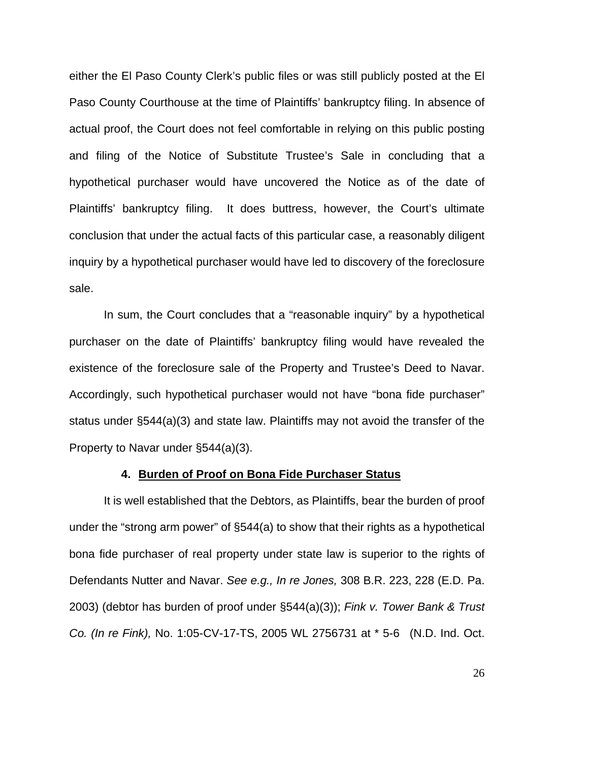either the El Paso County Clerk's public files or was still publicly posted at the El Paso County Courthouse at the time of Plaintiffs' bankruptcy filing. In absence of actual proof, the Court does not feel comfortable in relying on this public posting and filing of the Notice of Substitute Trustee's Sale in concluding that a hypothetical purchaser would have uncovered the Notice as of the date of Plaintiffs' bankruptcy filing. It does buttress, however, the Court's ultimate conclusion that under the actual facts of this particular case, a reasonably diligent inquiry by a hypothetical purchaser would have led to discovery of the foreclosure sale.

In sum, the Court concludes that a "reasonable inquiry" by a hypothetical purchaser on the date of Plaintiffs' bankruptcy filing would have revealed the existence of the foreclosure sale of the Property and Trustee's Deed to Navar. Accordingly, such hypothetical purchaser would not have "bona fide purchaser" status under §544(a)(3) and state law. Plaintiffs may not avoid the transfer of the Property to Navar under §544(a)(3).

#### **4. Burden of Proof on Bona Fide Purchaser Status**

It is well established that the Debtors, as Plaintiffs, bear the burden of proof under the "strong arm power" of §544(a) to show that their rights as a hypothetical bona fide purchaser of real property under state law is superior to the rights of Defendants Nutter and Navar. *See e.g., In re Jones,* 308 B.R. 223, 228 (E.D. Pa. 2003) (debtor has burden of proof under §544(a)(3)); *Fink v. Tower Bank & Trust Co. (In re Fink),* No. 1:05-CV-17-TS, 2005 WL 2756731 at \* 5-6 (N.D. Ind. Oct.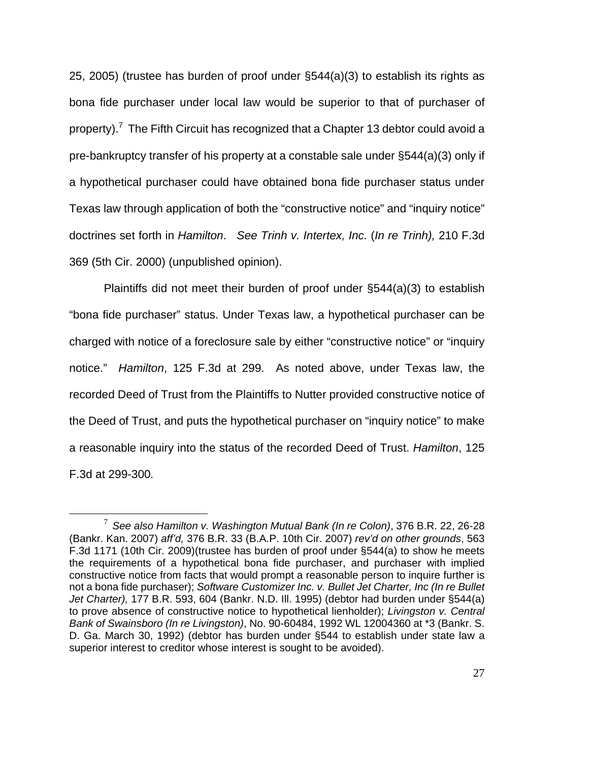25, 2005) (trustee has burden of proof under §544(a)(3) to establish its rights as bona fide purchaser under local law would be superior to that of purchaser of property).<sup>7</sup> The Fifth Circuit has recognized that a Chapter 13 debtor could avoid a pre-bankruptcy transfer of his property at a constable sale under §544(a)(3) only if a hypothetical purchaser could have obtained bona fide purchaser status under Texas law through application of both the "constructive notice" and "inquiry notice" doctrines set forth in *Hamilton*. *See Trinh v. Intertex, Inc.* (*In re Trinh),* 210 F.3d 369 (5th Cir. 2000) (unpublished opinion).

Plaintiffs did not meet their burden of proof under §544(a)(3) to establish "bona fide purchaser" status. Under Texas law, a hypothetical purchaser can be charged with notice of a foreclosure sale by either "constructive notice" or "inquiry notice." *Hamilton*, 125 F.3d at 299. As noted above, under Texas law, the recorded Deed of Trust from the Plaintiffs to Nutter provided constructive notice of the Deed of Trust, and puts the hypothetical purchaser on "inquiry notice" to make a reasonable inquiry into the status of the recorded Deed of Trust. *Hamilton*, 125 F.3d at 299-300*.*

 <sup>7</sup> *See also Hamilton v. Washington Mutual Bank (In re Colon)*, 376 B.R. 22, 26-28 (Bankr. Kan. 2007) *aff'd,* 376 B.R. 33 (B.A.P. 10th Cir. 2007) *rev'd on other grounds*, 563 F.3d 1171 (10th Cir. 2009)(trustee has burden of proof under §544(a) to show he meets the requirements of a hypothetical bona fide purchaser, and purchaser with implied constructive notice from facts that would prompt a reasonable person to inquire further is not a bona fide purchaser); *Software Customizer Inc. v. Bullet Jet Charter, Inc (In re Bullet Jet Charter),* 177 B.R. 593, 604 (Bankr. N.D. Ill. 1995) (debtor had burden under §544(a) to prove absence of constructive notice to hypothetical lienholder); *Livingston v. Central Bank of Swainsboro (In re Livingston)*, No. 90-60484, 1992 WL 12004360 at \*3 (Bankr. S. D. Ga. March 30, 1992) (debtor has burden under §544 to establish under state law a superior interest to creditor whose interest is sought to be avoided).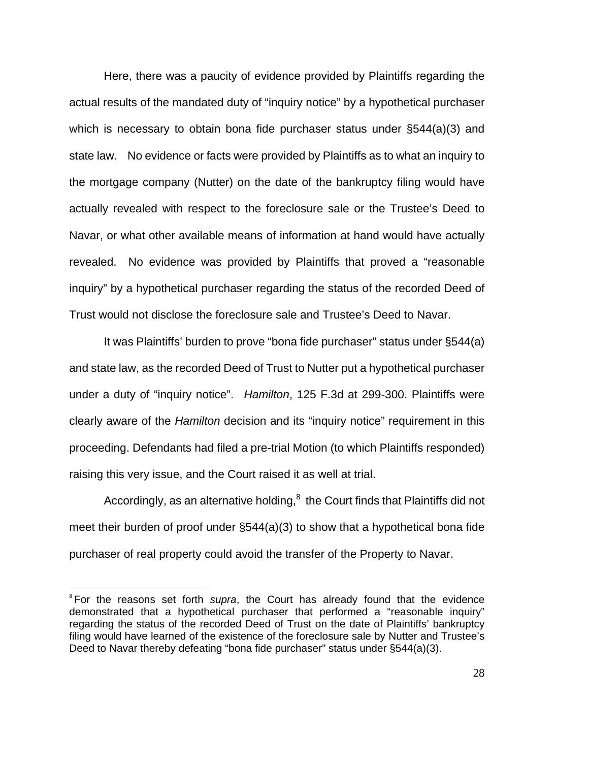Here, there was a paucity of evidence provided by Plaintiffs regarding the actual results of the mandated duty of "inquiry notice" by a hypothetical purchaser which is necessary to obtain bona fide purchaser status under §544(a)(3) and state law. No evidence or facts were provided by Plaintiffs as to what an inquiry to the mortgage company (Nutter) on the date of the bankruptcy filing would have actually revealed with respect to the foreclosure sale or the Trustee's Deed to Navar, or what other available means of information at hand would have actually revealed. No evidence was provided by Plaintiffs that proved a "reasonable inquiry" by a hypothetical purchaser regarding the status of the recorded Deed of Trust would not disclose the foreclosure sale and Trustee's Deed to Navar.

It was Plaintiffs' burden to prove "bona fide purchaser" status under §544(a) and state law, as the recorded Deed of Trust to Nutter put a hypothetical purchaser under a duty of "inquiry notice". *Hamilton*, 125 F.3d at 299-300. Plaintiffs were clearly aware of the *Hamilton* decision and its "inquiry notice" requirement in this proceeding. Defendants had filed a pre-trial Motion (to which Plaintiffs responded) raising this very issue, and the Court raised it as well at trial.

Accordingly, as an alternative holding, $^8$  the Court finds that Plaintiffs did not meet their burden of proof under §544(a)(3) to show that a hypothetical bona fide purchaser of real property could avoid the transfer of the Property to Navar.

<u>.</u>

<sup>&</sup>lt;sup>8</sup> For the reasons set forth *supra*, the Court has already found that the evidence demonstrated that a hypothetical purchaser that performed a "reasonable inquiry" regarding the status of the recorded Deed of Trust on the date of Plaintiffs' bankruptcy filing would have learned of the existence of the foreclosure sale by Nutter and Trustee's Deed to Navar thereby defeating "bona fide purchaser" status under §544(a)(3).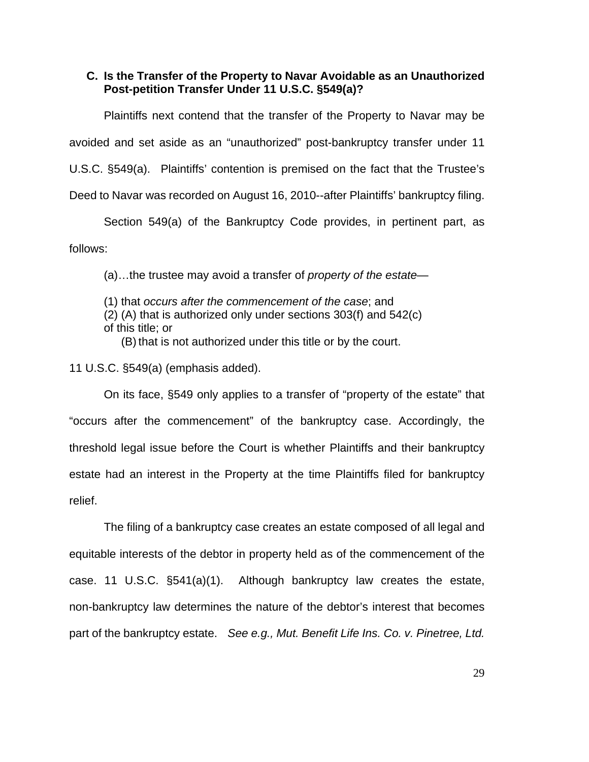### **C. Is the Transfer of the Property to Navar Avoidable as an Unauthorized Post-petition Transfer Under 11 U.S.C. §549(a)?**

Plaintiffs next contend that the transfer of the Property to Navar may be avoided and set aside as an "unauthorized" post-bankruptcy transfer under 11 U.S.C. §549(a). Plaintiffs' contention is premised on the fact that the Trustee's Deed to Navar was recorded on August 16, 2010--after Plaintiffs' bankruptcy filing.

Section 549(a) of the Bankruptcy Code provides, in pertinent part, as follows:

(a)…the trustee may avoid a transfer of *property of the estate*—

(1) that *occurs after the commencement of the case*; and (2) (A) that is authorized only under sections 303(f) and 542(c) of this title; or

(B) that is not authorized under this title or by the court.

11 U.S.C. §549(a) (emphasis added).

On its face, §549 only applies to a transfer of "property of the estate" that "occurs after the commencement" of the bankruptcy case. Accordingly, the threshold legal issue before the Court is whether Plaintiffs and their bankruptcy estate had an interest in the Property at the time Plaintiffs filed for bankruptcy relief.

The filing of a bankruptcy case creates an estate composed of all legal and equitable interests of the debtor in property held as of the commencement of the case. 11 U.S.C. §541(a)(1). Although bankruptcy law creates the estate, non-bankruptcy law determines the nature of the debtor's interest that becomes part of the bankruptcy estate. *See e.g., Mut. Benefit Life Ins. Co. v. Pinetree, Ltd.*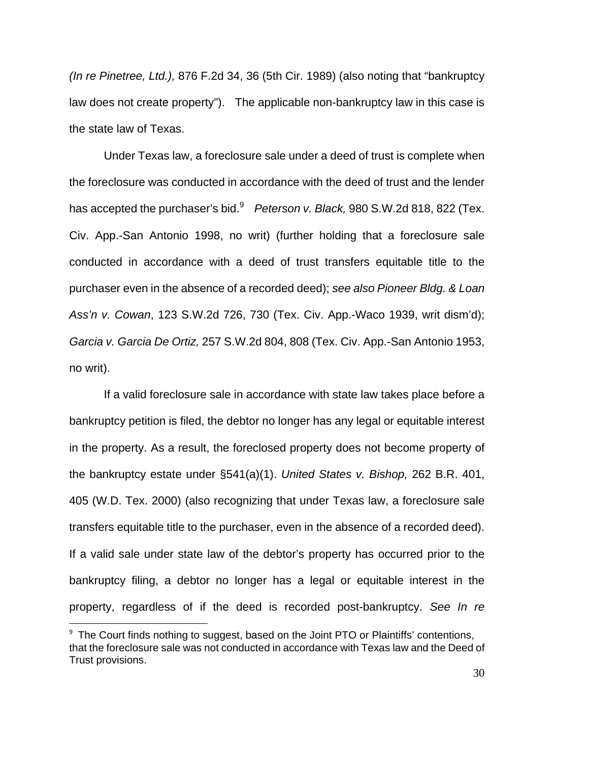*(In re Pinetree, Ltd.),* 876 F.2d 34, 36 (5th Cir. 1989) (also noting that "bankruptcy law does not create property"). The applicable non-bankruptcy law in this case is the state law of Texas.

 Under Texas law, a foreclosure sale under a deed of trust is complete when the foreclosure was conducted in accordance with the deed of trust and the lender has accepted the purchaser's bid.<sup>9</sup> Peterson v. Black, 980 S.W.2d 818, 822 (Tex. Civ. App.-San Antonio 1998, no writ) (further holding that a foreclosure sale conducted in accordance with a deed of trust transfers equitable title to the purchaser even in the absence of a recorded deed); *see also Pioneer Bldg. & Loan Ass'n v. Cowan*, 123 S.W.2d 726, 730 (Tex. Civ. App.-Waco 1939, writ dism'd); *Garcia v. Garcia De Ortiz,* 257 S.W.2d 804, 808 (Tex. Civ. App.-San Antonio 1953, no writ).

If a valid foreclosure sale in accordance with state law takes place before a bankruptcy petition is filed, the debtor no longer has any legal or equitable interest in the property. As a result, the foreclosed property does not become property of the bankruptcy estate under §541(a)(1). *United States v. Bishop,* 262 B.R. 401, 405 (W.D. Tex. 2000) (also recognizing that under Texas law, a foreclosure sale transfers equitable title to the purchaser, even in the absence of a recorded deed). If a valid sale under state law of the debtor's property has occurred prior to the bankruptcy filing, a debtor no longer has a legal or equitable interest in the property, regardless of if the deed is recorded post-bankruptcy. *See In re* 

 $\overline{a}$ 

<sup>&</sup>lt;sup>9</sup> The Court finds nothing to suggest, based on the Joint PTO or Plaintiffs' contentions, that the foreclosure sale was not conducted in accordance with Texas law and the Deed of Trust provisions.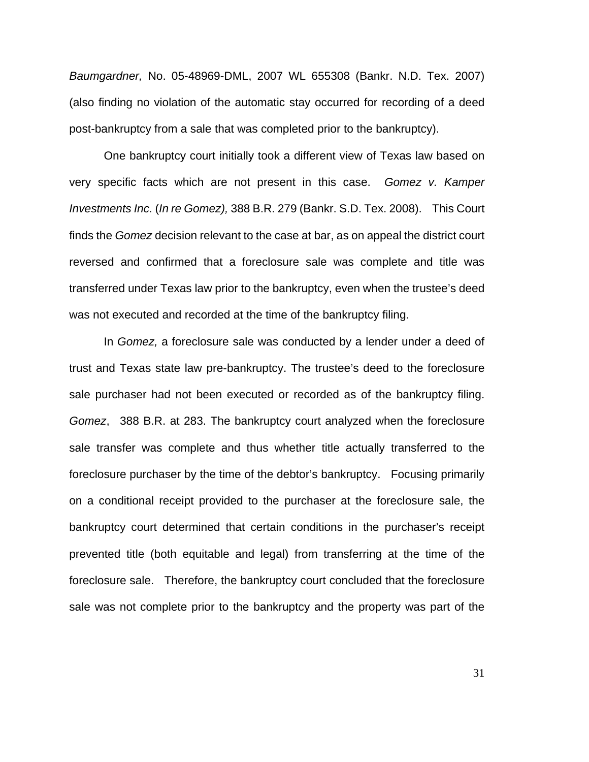*Baumgardner,* No. 05-48969-DML, 2007 WL 655308 (Bankr. N.D. Tex. 2007) (also finding no violation of the automatic stay occurred for recording of a deed post-bankruptcy from a sale that was completed prior to the bankruptcy).

 One bankruptcy court initially took a different view of Texas law based on very specific facts which are not present in this case. *Gomez v. Kamper Investments Inc.* (*In re Gomez),* 388 B.R. 279 (Bankr. S.D. Tex. 2008). This Court finds the *Gomez* decision relevant to the case at bar, as on appeal the district court reversed and confirmed that a foreclosure sale was complete and title was transferred under Texas law prior to the bankruptcy, even when the trustee's deed was not executed and recorded at the time of the bankruptcy filing.

In *Gomez,* a foreclosure sale was conducted by a lender under a deed of trust and Texas state law pre-bankruptcy. The trustee's deed to the foreclosure sale purchaser had not been executed or recorded as of the bankruptcy filing. *Gomez*, 388 B.R. at 283. The bankruptcy court analyzed when the foreclosure sale transfer was complete and thus whether title actually transferred to the foreclosure purchaser by the time of the debtor's bankruptcy. Focusing primarily on a conditional receipt provided to the purchaser at the foreclosure sale, the bankruptcy court determined that certain conditions in the purchaser's receipt prevented title (both equitable and legal) from transferring at the time of the foreclosure sale. Therefore, the bankruptcy court concluded that the foreclosure sale was not complete prior to the bankruptcy and the property was part of the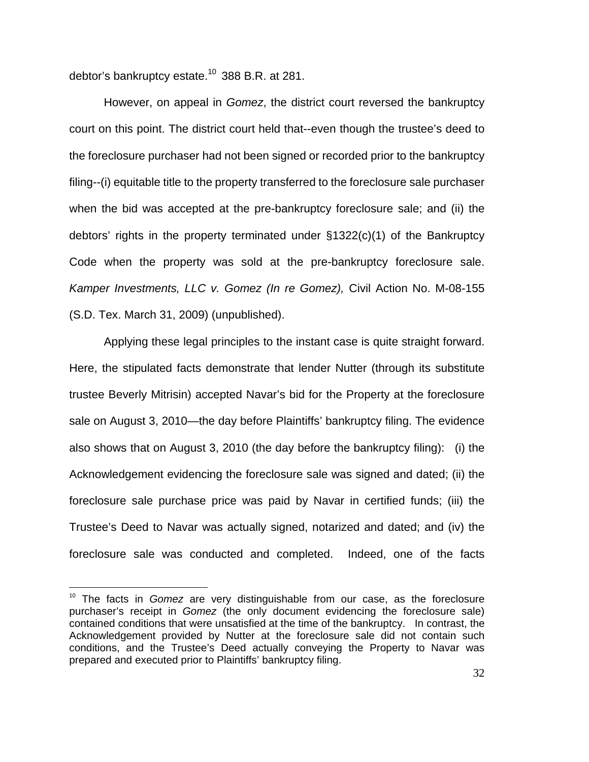debtor's bankruptcy estate.<sup>10</sup> 388 B.R. at 281.

However, on appeal in *Gomez*, the district court reversed the bankruptcy court on this point. The district court held that--even though the trustee's deed to the foreclosure purchaser had not been signed or recorded prior to the bankruptcy filing--(i) equitable title to the property transferred to the foreclosure sale purchaser when the bid was accepted at the pre-bankruptcy foreclosure sale; and (ii) the debtors' rights in the property terminated under §1322(c)(1) of the Bankruptcy Code when the property was sold at the pre-bankruptcy foreclosure sale. *Kamper Investments, LLC v. Gomez (In re Gomez),* Civil Action No. M-08-155 (S.D. Tex. March 31, 2009) (unpublished).

Applying these legal principles to the instant case is quite straight forward. Here, the stipulated facts demonstrate that lender Nutter (through its substitute trustee Beverly Mitrisin) accepted Navar's bid for the Property at the foreclosure sale on August 3, 2010—the day before Plaintiffs' bankruptcy filing. The evidence also shows that on August 3, 2010 (the day before the bankruptcy filing): (i) the Acknowledgement evidencing the foreclosure sale was signed and dated; (ii) the foreclosure sale purchase price was paid by Navar in certified funds; (iii) the Trustee's Deed to Navar was actually signed, notarized and dated; and (iv) the foreclosure sale was conducted and completed. Indeed, one of the facts

<sup>&</sup>lt;sup>10</sup> The facts in *Gomez* are very distinguishable from our case, as the foreclosure purchaser's receipt in *Gomez* (the only document evidencing the foreclosure sale) contained conditions that were unsatisfied at the time of the bankruptcy. In contrast, the Acknowledgement provided by Nutter at the foreclosure sale did not contain such conditions, and the Trustee's Deed actually conveying the Property to Navar was prepared and executed prior to Plaintiffs' bankruptcy filing.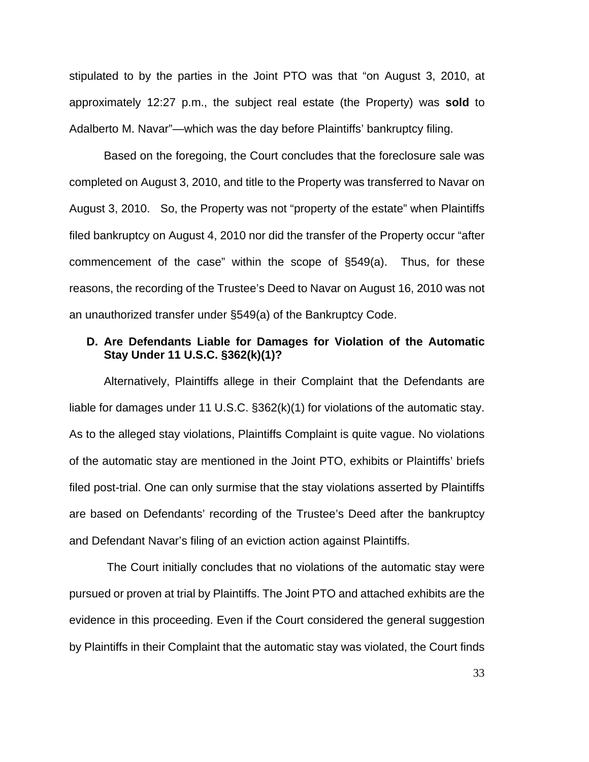stipulated to by the parties in the Joint PTO was that "on August 3, 2010, at approximately 12:27 p.m., the subject real estate (the Property) was **sold** to Adalberto M. Navar"—which was the day before Plaintiffs' bankruptcy filing.

Based on the foregoing, the Court concludes that the foreclosure sale was completed on August 3, 2010, and title to the Property was transferred to Navar on August 3, 2010. So, the Property was not "property of the estate" when Plaintiffs filed bankruptcy on August 4, 2010 nor did the transfer of the Property occur "after commencement of the case" within the scope of §549(a). Thus, for these reasons, the recording of the Trustee's Deed to Navar on August 16, 2010 was not an unauthorized transfer under §549(a) of the Bankruptcy Code.

## **D. Are Defendants Liable for Damages for Violation of the Automatic Stay Under 11 U.S.C. §362(k)(1)?**

Alternatively, Plaintiffs allege in their Complaint that the Defendants are liable for damages under 11 U.S.C. §362(k)(1) for violations of the automatic stay. As to the alleged stay violations, Plaintiffs Complaint is quite vague. No violations of the automatic stay are mentioned in the Joint PTO, exhibits or Plaintiffs' briefs filed post-trial. One can only surmise that the stay violations asserted by Plaintiffs are based on Defendants' recording of the Trustee's Deed after the bankruptcy and Defendant Navar's filing of an eviction action against Plaintiffs.

 The Court initially concludes that no violations of the automatic stay were pursued or proven at trial by Plaintiffs. The Joint PTO and attached exhibits are the evidence in this proceeding. Even if the Court considered the general suggestion by Plaintiffs in their Complaint that the automatic stay was violated, the Court finds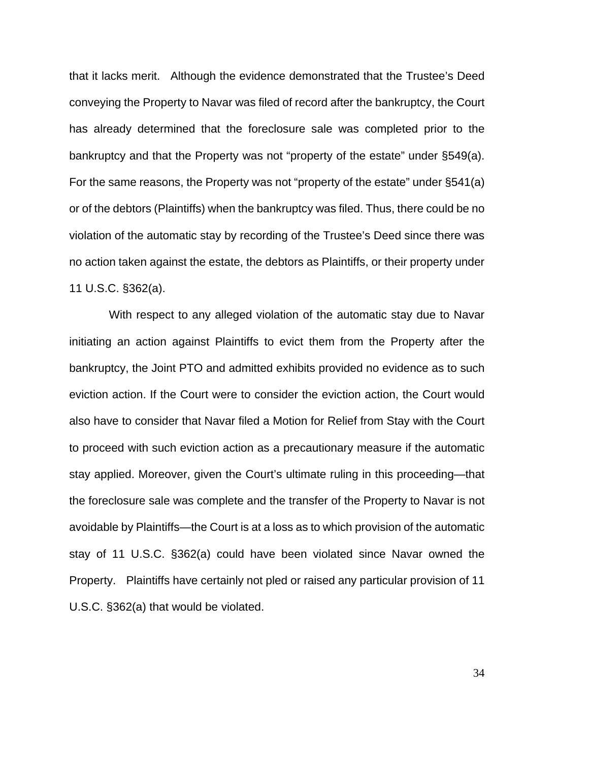that it lacks merit. Although the evidence demonstrated that the Trustee's Deed conveying the Property to Navar was filed of record after the bankruptcy, the Court has already determined that the foreclosure sale was completed prior to the bankruptcy and that the Property was not "property of the estate" under §549(a). For the same reasons, the Property was not "property of the estate" under §541(a) or of the debtors (Plaintiffs) when the bankruptcy was filed. Thus, there could be no violation of the automatic stay by recording of the Trustee's Deed since there was no action taken against the estate, the debtors as Plaintiffs, or their property under 11 U.S.C. §362(a).

 With respect to any alleged violation of the automatic stay due to Navar initiating an action against Plaintiffs to evict them from the Property after the bankruptcy, the Joint PTO and admitted exhibits provided no evidence as to such eviction action. If the Court were to consider the eviction action, the Court would also have to consider that Navar filed a Motion for Relief from Stay with the Court to proceed with such eviction action as a precautionary measure if the automatic stay applied. Moreover, given the Court's ultimate ruling in this proceeding—that the foreclosure sale was complete and the transfer of the Property to Navar is not avoidable by Plaintiffs—the Court is at a loss as to which provision of the automatic stay of 11 U.S.C. §362(a) could have been violated since Navar owned the Property. Plaintiffs have certainly not pled or raised any particular provision of 11 U.S.C. §362(a) that would be violated.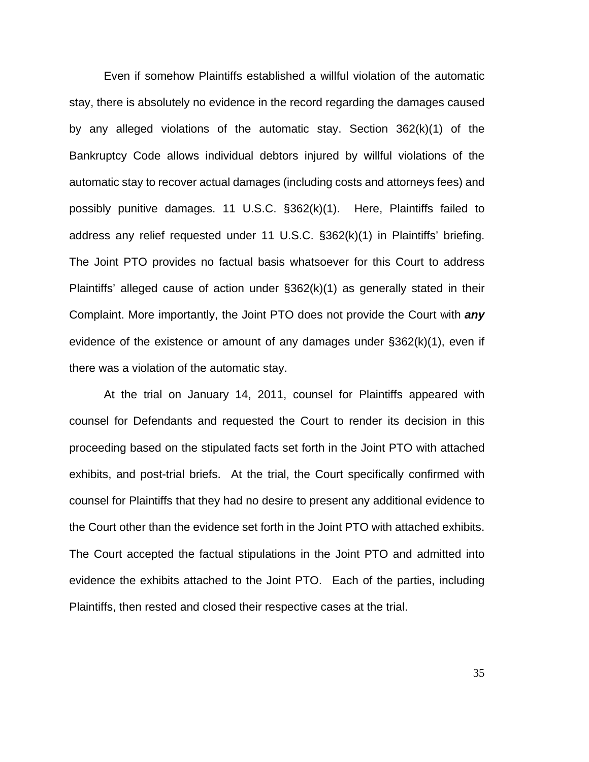Even if somehow Plaintiffs established a willful violation of the automatic stay, there is absolutely no evidence in the record regarding the damages caused by any alleged violations of the automatic stay. Section 362(k)(1) of the Bankruptcy Code allows individual debtors injured by willful violations of the automatic stay to recover actual damages (including costs and attorneys fees) and possibly punitive damages. 11 U.S.C. §362(k)(1). Here, Plaintiffs failed to address any relief requested under 11 U.S.C. §362(k)(1) in Plaintiffs' briefing. The Joint PTO provides no factual basis whatsoever for this Court to address Plaintiffs' alleged cause of action under §362(k)(1) as generally stated in their Complaint. More importantly, the Joint PTO does not provide the Court with *any* evidence of the existence or amount of any damages under §362(k)(1), even if there was a violation of the automatic stay.

At the trial on January 14, 2011, counsel for Plaintiffs appeared with counsel for Defendants and requested the Court to render its decision in this proceeding based on the stipulated facts set forth in the Joint PTO with attached exhibits, and post-trial briefs. At the trial, the Court specifically confirmed with counsel for Plaintiffs that they had no desire to present any additional evidence to the Court other than the evidence set forth in the Joint PTO with attached exhibits. The Court accepted the factual stipulations in the Joint PTO and admitted into evidence the exhibits attached to the Joint PTO. Each of the parties, including Plaintiffs, then rested and closed their respective cases at the trial.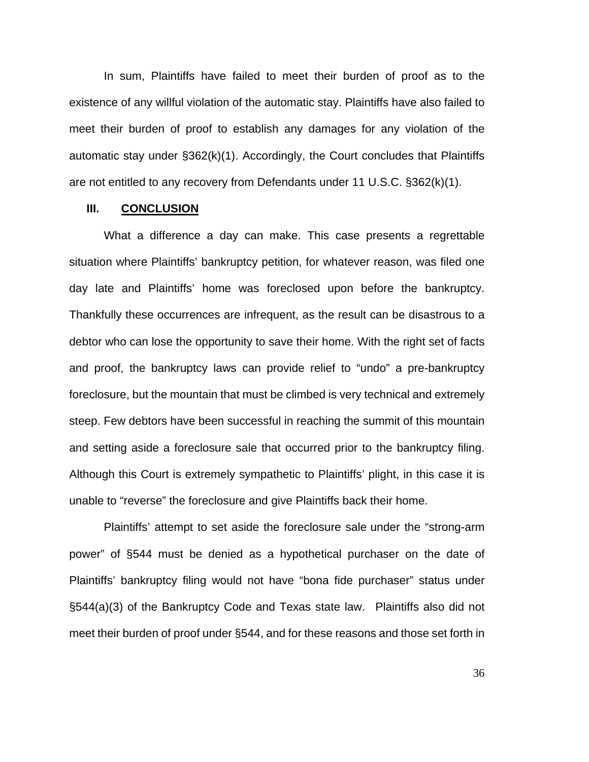In sum, Plaintiffs have failed to meet their burden of proof as to the existence of any willful violation of the automatic stay. Plaintiffs have also failed to meet their burden of proof to establish any damages for any violation of the automatic stay under §362(k)(1). Accordingly, the Court concludes that Plaintiffs are not entitled to any recovery from Defendants under 11 U.S.C. §362(k)(1).

#### **III. CONCLUSION**

What a difference a day can make. This case presents a regrettable situation where Plaintiffs' bankruptcy petition, for whatever reason, was filed one day late and Plaintiffs' home was foreclosed upon before the bankruptcy. Thankfully these occurrences are infrequent, as the result can be disastrous to a debtor who can lose the opportunity to save their home. With the right set of facts and proof, the bankruptcy laws can provide relief to "undo" a pre-bankruptcy foreclosure, but the mountain that must be climbed is very technical and extremely steep. Few debtors have been successful in reaching the summit of this mountain and setting aside a foreclosure sale that occurred prior to the bankruptcy filing. Although this Court is extremely sympathetic to Plaintiffs' plight, in this case it is unable to "reverse" the foreclosure and give Plaintiffs back their home.

Plaintiffs' attempt to set aside the foreclosure sale under the "strong-arm power" of §544 must be denied as a hypothetical purchaser on the date of Plaintiffs' bankruptcy filing would not have "bona fide purchaser" status under §544(a)(3) of the Bankruptcy Code and Texas state law. Plaintiffs also did not meet their burden of proof under §544, and for these reasons and those set forth in